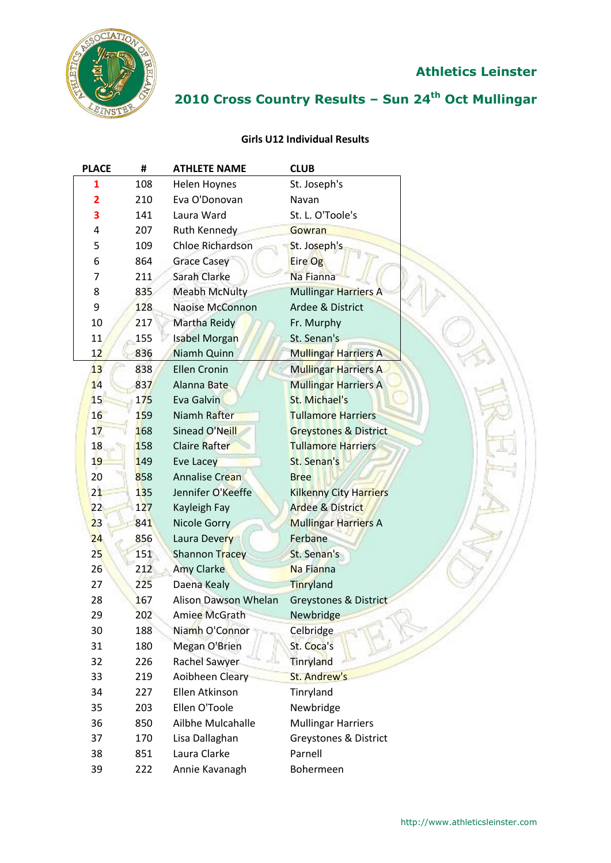

## **2010 Cross Country Results – Sun 24th Oct Mullingar**

#### **Girls U12 Individual Results**

| <b>PLACE</b>    | #   | <b>ATHLETE NAME</b>     | <b>CLUB</b>                      |
|-----------------|-----|-------------------------|----------------------------------|
| 1               | 108 | Helen Hoynes            | St. Joseph's                     |
| $\overline{2}$  | 210 | Eva O'Donovan           | Navan                            |
| 3               | 141 | Laura Ward              | St. L. O'Toole's                 |
| 4               | 207 | Ruth Kennedy            | Gowran                           |
| 5               | 109 | <b>Chloe Richardson</b> | St. Joseph's                     |
| 6               | 864 | <b>Grace Casey</b>      | Eire Og                          |
| 7               | 211 | Sarah Clarke            | Na Fianna                        |
| 8               | 835 | <b>Meabh McNulty</b>    | <b>Mullingar Harriers A</b>      |
| 9               | 128 | Naoise McConnon         | Ardee & District                 |
| 10              | 217 | Martha Reidy            | Fr. Murphy                       |
| 11              | 155 | <b>Isabel Morgan</b>    | St. Senan's                      |
| 12              | 836 | Niamh Quinn             | <b>Mullingar Harriers A</b>      |
| 13 <sup>°</sup> | 838 | <b>Ellen Cronin</b>     | <b>Mullingar Harriers A</b>      |
| 14              | 837 | Alanna Bate             | <b>Mullingar Harriers A</b>      |
| 15 <sup>′</sup> | 175 | Eva Galvin              | St. Michael's                    |
| 16              | 159 | Niamh Rafter            | <b>Tullamore Harriers</b>        |
| 17              | 168 | Sinead O'Neill          | <b>Greystones &amp; District</b> |
| 18              | 158 | <b>Claire Rafter</b>    | <b>Tullamore Harriers</b>        |
| 19              | 149 | Eve Lacey               | St. Senan's                      |
| 20              | 858 | <b>Annalise Crean</b>   | <b>Bree</b>                      |
| 21              | 135 | Jennifer O'Keeffe       | <b>Kilkenny City Harriers</b>    |
| 22              | 127 | Kayleigh Fay            | <b>Ardee &amp; District</b>      |
| 23              | 841 | Nicole Gorry            | <b>Mullingar Harriers A</b>      |
| 24              | 856 | Laura Devery            | Ferbane                          |
| 25              | 151 | Shannon Tracey          | St. Senan's                      |
| 26              | 212 | <b>Amy Clarke</b>       | Na Fianna                        |
| 27              | 225 | Daena Kealy             | Tinryland                        |
| 28              | 167 | Alison Dawson Whelan    | Greystones & District            |
| 29              | 202 | Amiee McGrath           | Newbridge                        |
| 30              | 188 | Niamh O'Connor          | Celbridge                        |
| 31              | 180 | Megan O'Brien           | St. Coca's                       |
| 32              | 226 | Rachel Sawyer           | Tinryland                        |
| 33              | 219 | Aoibheen Cleary         | <b>St. Andrew's</b>              |
| 34              | 227 | Ellen Atkinson          | Tinryland                        |
| 35              | 203 | Ellen O'Toole           | Newbridge                        |
| 36              | 850 | Ailbhe Mulcahalle       | <b>Mullingar Harriers</b>        |
| 37              | 170 | Lisa Dallaghan          | <b>Greystones &amp; District</b> |
| 38              | 851 | Laura Clarke            | Parnell                          |
| 39              | 222 | Annie Kavanagh          | Bohermeen                        |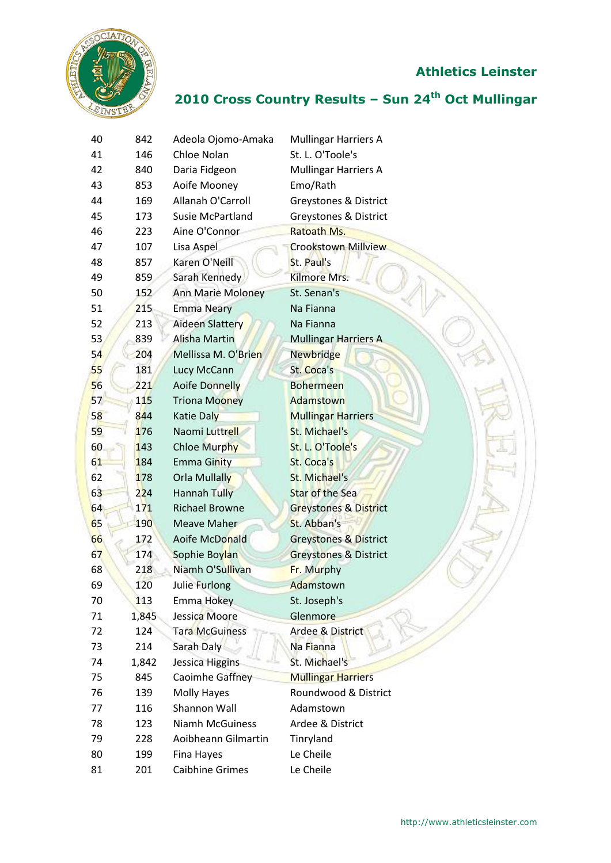

| 40 | 842   | Adeola Ojomo-Amaka     | <b>Mullingar Harriers A</b>      |
|----|-------|------------------------|----------------------------------|
| 41 | 146   | Chloe Nolan            | St. L. O'Toole's                 |
| 42 | 840   | Daria Fidgeon          | <b>Mullingar Harriers A</b>      |
| 43 | 853   | Aoife Mooney           | Emo/Rath                         |
| 44 | 169   | Allanah O'Carroll      | <b>Greystones &amp; District</b> |
| 45 | 173   | Susie McPartland       | Greystones & District            |
| 46 | 223   | Aine O'Connor          | Ratoath Ms.                      |
| 47 | 107   | Lisa Aspel             | <b>Crookstown Millview</b>       |
| 48 | 857   | Karen O'Neill          | St. Paul's                       |
| 49 | 859   | Sarah Kennedy          | Kilmore Mrs.                     |
| 50 | 152   | Ann Marie Moloney      | St. Senan's                      |
| 51 | 215   | <b>Emma Neary</b>      | Na Fianna                        |
| 52 | 213   | Aideen Slattery        | Na Fianna                        |
| 53 | 839   | Alisha Martin          | <b>Mullingar Harriers A</b>      |
| 54 | 204   | Mellissa M. O'Brien    | <b>Newbridge</b>                 |
| 55 | 181   | Lucy McCann            | St. Coca's                       |
| 56 | 221   | <b>Aoife Donnelly</b>  | <b>Bohermeen</b>                 |
| 57 | 115   | <b>Triona Mooney</b>   | Adamstown                        |
| 58 | 844   | <b>Katie Daly</b>      | <b>Mullingar Harriers</b>        |
| 59 | 176   | Naomi Luttrell         | St. Michael's                    |
| 60 | 143   | <b>Chloe Murphy</b>    | St. L. O'Toole's                 |
| 61 | 184   | <b>Emma Ginity</b>     | <b>St. Coca's</b>                |
| 62 | 178   | <b>Orla Mullally</b>   | St. Michael's                    |
| 63 | 224   | <b>Hannah Tully</b>    | <b>Star of the Sea</b>           |
| 64 | 171   | <b>Richael Browne</b>  | Greystones & District            |
| 65 | 190   | Meave Maher            | St. Abban's                      |
| 66 | 172   | Aoife McDonald         | Greystones & District            |
| 67 | 174   | Sophie Boylan          | <b>Greystones &amp; District</b> |
| 68 | 218   | Niamh O'Sullivan       | Fr. Murphy                       |
| 69 | 120   | <b>Julie Furlong</b>   | Adamstown                        |
| 70 | 113   | Emma Hokey             | St. Joseph's                     |
| 71 | 1,845 | Jessica Moore          | Glenmore                         |
| 72 | 124   | <b>Tara McGuiness</b>  | <b>Ardee &amp; District</b>      |
| 73 | 214   | Sarah Daly             | Na Fianna                        |
| 74 | 1,842 | Jessica Higgins        | St. Michael's                    |
| 75 | 845   | Caoimhe Gaffney        | <b>Mullingar Harriers</b>        |
| 76 | 139   | Molly Hayes            | Roundwood & District             |
| 77 | 116   | Shannon Wall           | Adamstown                        |
| 78 | 123   | Niamh McGuiness        | Ardee & District                 |
| 79 | 228   | Aoibheann Gilmartin    | Tinryland                        |
| 80 | 199   | Fina Hayes             | Le Cheile                        |
| 81 | 201   | <b>Caibhine Grimes</b> | Le Cheile                        |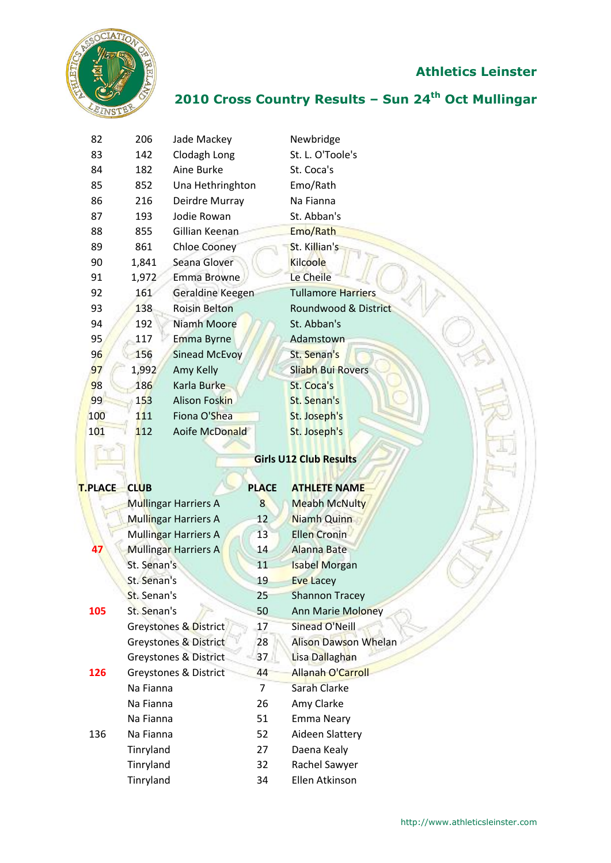

| 206         | Jade Mackey          |                                                                                           | Newbridge                                                              |
|-------------|----------------------|-------------------------------------------------------------------------------------------|------------------------------------------------------------------------|
| 142         | Clodagh Long         |                                                                                           | St. L. O'Toole's                                                       |
| 182         | Aine Burke           |                                                                                           | St. Coca's                                                             |
| 852         |                      |                                                                                           | Emo/Rath                                                               |
| 216         | Deirdre Murray       |                                                                                           | Na Fianna                                                              |
| 193         | Jodie Rowan          |                                                                                           | St. Abban's                                                            |
| 855         | Gillian Keenan       |                                                                                           | Emo/Rath                                                               |
| 861         | <b>Chloe Cooney</b>  |                                                                                           | St. Killian's                                                          |
| 1,841       | Seana Glover         |                                                                                           | Kilcoole                                                               |
| 1,972       | Emma Browne          |                                                                                           | Le Cheile                                                              |
| 161         |                      |                                                                                           | <b>Tullamore Harriers</b>                                              |
| 138         | <b>Roisin Belton</b> |                                                                                           | Roundwood & District                                                   |
| 192         | Niamh Moore          |                                                                                           | St. Abban's                                                            |
| 117         | Emma Byrne           |                                                                                           | Adamstown                                                              |
| 156         | <b>Sinead McEvoy</b> |                                                                                           | St. Senan's                                                            |
| 1,992       | Amy Kelly            |                                                                                           | <b>Sliabh Bui Rovers</b>                                               |
| 186         | Karla Burke          |                                                                                           | St. Coca's                                                             |
| 153         | <b>Alison Foskin</b> |                                                                                           | St. Senan's                                                            |
| 111         | Fiona O'Shea         |                                                                                           | St. Joseph's                                                           |
| 112         |                      |                                                                                           | St. Joseph's                                                           |
|             |                      |                                                                                           |                                                                        |
|             |                      |                                                                                           | <b>Girls U12 Club Results</b>                                          |
| <b>CLUB</b> |                      |                                                                                           | <b>ATHLETE NAME</b>                                                    |
|             |                      | 8                                                                                         | <b>Meabh McNulty</b>                                                   |
|             |                      | 12                                                                                        | Niamh Quinn                                                            |
|             |                      | 13                                                                                        | <b>Ellen Cronin</b>                                                    |
|             |                      | <b>Mullingar Harriers A</b><br><b>Mullingar Harriers A</b><br><b>Mullingar Harriers A</b> | Una Hethringhton<br>Geraldine Keegen<br>Aoife McDonald<br><b>PLACE</b> |

| 47  | <b>Mullingar Harriers A</b>      | 14 | <b>Alanna Bate</b>          |  |
|-----|----------------------------------|----|-----------------------------|--|
|     | St. Senan's                      | 11 | <b>Isabel Morgan</b>        |  |
|     | St. Senan's                      | 19 | <b>Eve Lacey</b>            |  |
|     | St. Senan's                      | 25 | <b>Shannon Tracey</b>       |  |
| 105 | St. Senan's                      | 50 | <b>Ann Marie Moloney</b>    |  |
|     | Greystones & District            | 17 | <b>Sinead O'Neill</b>       |  |
|     | Greystones & District            | 28 | <b>Alison Dawson Whelan</b> |  |
|     | <b>Greystones &amp; District</b> | 37 | Lisa Dallaghan              |  |
| 126 | Greystones & District            | 44 | <b>Allanah O'Carroll</b>    |  |
|     | Na Fianna                        | 7  | Sarah Clarke                |  |
|     | Na Fianna                        | 26 | Amy Clarke                  |  |
|     | Na Fianna                        | 51 | <b>Emma Neary</b>           |  |
| 136 | Na Fianna                        | 52 | Aideen Slattery             |  |
|     | Tinryland                        | 27 | Daena Kealy                 |  |
|     | Tinryland                        | 32 | Rachel Sawyer               |  |
|     | Tinryland                        | 34 | Ellen Atkinson              |  |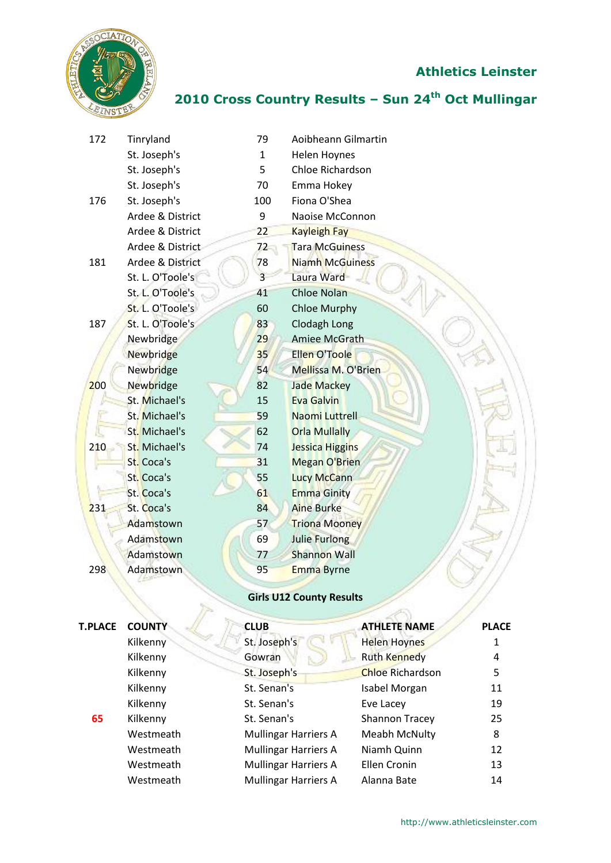

## **2010 Cross Country Results – Sun 24th Oct Mullingar**

| 172 | Tinryland        | 79             | Aoibheann Gilmartin    |
|-----|------------------|----------------|------------------------|
|     | St. Joseph's     | $\mathbf{1}$   | <b>Helen Hoynes</b>    |
|     | St. Joseph's     | 5              | Chloe Richardson       |
|     | St. Joseph's     | 70             | Emma Hokey             |
| 176 | St. Joseph's     | 100            | Fiona O'Shea           |
|     | Ardee & District | 9              | Naoise McConnon        |
|     | Ardee & District | 22             | <b>Kayleigh Fay</b>    |
|     | Ardee & District | 72             | <b>Tara McGuiness</b>  |
| 181 | Ardee & District | 78             | <b>Niamh McGuiness</b> |
|     | St. L. O'Toole's | $\overline{3}$ | Laura Ward             |
|     | St. L. O'Toole's | 41             | <b>Chloe Nolan</b>     |
|     | St. L. O'Toole's | 60             | <b>Chloe Murphy</b>    |
| 187 | St. L. O'Toole's | 83             | Clodagh Long           |
|     | Newbridge        | 29             | <b>Amiee McGrath</b>   |
|     | <b>Newbridge</b> | 35             | Ellen O'Toole          |
|     | <b>Newbridge</b> | 54             | Mellissa M. O'Brien    |
| 200 | <b>Newbridge</b> | 82             | <b>Jade Mackey</b>     |
|     | St. Michael's    | 15             | <b>Eva Galvin</b>      |
|     | St. Michael's    | 59             | <b>Naomi Luttrell</b>  |
|     | St. Michael's    | 62             | <b>Orla Mullally</b>   |
| 210 | St. Michael's    | 74             | <b>Jessica Higgins</b> |
|     | St. Coca's       | 31             | <b>Megan O'Brien</b>   |
|     | St. Coca's       | 55             | <b>Lucy McCann</b>     |
|     | St. Coca's       | 61             | <b>Emma Ginity</b>     |
| 231 | St. Coca's       | 84             | <b>Aine Burke</b>      |
|     | Adamstown        | 57             | <b>Triona Mooney</b>   |
|     | Adamstown        | 69             | Julie Furlong          |
|     | Adamstown        | 77             | <b>Shannon Wall</b>    |
| 298 | Adamstown        | 95             | Emma Byrne             |
|     |                  |                |                        |

#### **Girls U12 County Results**

di.

PS.

| <b>T.PLACE</b> | <b>COUNTY</b> | <b>CLUB</b>                 | <b>ATHLETE NAME</b>     | <b>PLACE</b> |
|----------------|---------------|-----------------------------|-------------------------|--------------|
|                | Kilkenny      | St. Joseph's                | <b>Helen Hoynes</b>     |              |
|                | Kilkenny      | Gowran                      | <b>Ruth Kennedy</b>     | 4            |
|                | Kilkenny      | St. Joseph's                | <b>Chloe Richardson</b> | 5            |
|                | Kilkenny      | St. Senan's                 | Isabel Morgan           | 11           |
|                | Kilkenny      | St. Senan's                 | Eve Lacey               | 19           |
| 65             | Kilkenny      | St. Senan's                 | <b>Shannon Tracey</b>   | 25           |
|                | Westmeath     | <b>Mullingar Harriers A</b> | Meabh McNulty           | 8            |
|                | Westmeath     | <b>Mullingar Harriers A</b> | Niamh Quinn             | 12           |
|                | Westmeath     | <b>Mullingar Harriers A</b> | Ellen Cronin            | 13           |
|                | Westmeath     | <b>Mullingar Harriers A</b> | Alanna Bate             | 14           |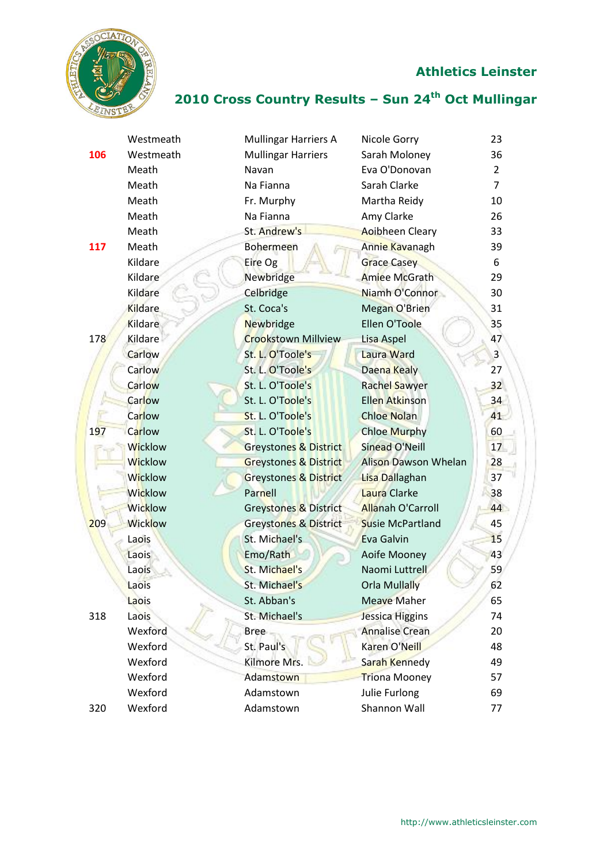

|     | Westmeath      | <b>Mullingar Harriers A</b>      | Nicole Gorry                | 23             |
|-----|----------------|----------------------------------|-----------------------------|----------------|
| 106 | Westmeath      | <b>Mullingar Harriers</b>        | Sarah Moloney               | 36             |
|     | Meath          | Navan                            | Eva O'Donovan               | $\overline{2}$ |
|     | Meath          | Na Fianna                        | Sarah Clarke                | $\overline{7}$ |
|     | Meath          | Fr. Murphy                       | Martha Reidy                | 10             |
|     | Meath          | Na Fianna                        | Amy Clarke                  | 26             |
|     | Meath          | St. Andrew's                     | Aoibheen Cleary             | 33             |
| 117 | Meath          | <b>Bohermeen</b>                 | Annie Kavanagh              | 39             |
|     | Kildare        | Eire Og                          | <b>Grace Casey</b>          | 6              |
|     | Kildare        | Newbridge                        | <b>Amiee McGrath</b>        | 29             |
|     | Kildare        | Celbridge                        | Niamh O'Connor              | 30             |
|     | <b>Kildare</b> | St. Coca's                       | Megan O'Brien               | 31             |
|     | <b>Kildare</b> | <b>Newbridge</b>                 | <b>Ellen O'Toole</b>        | 35             |
| 178 | Kildare        | <b>Crookstown Millview</b>       | Lisa Aspel                  | 47             |
|     | Carlow         | St. L. O'Toole's                 | Laura Ward                  | $\overline{3}$ |
|     | Carlow         | St. L. O'Toole's                 | Daena Kealy                 | 27             |
|     | Carlow         | St. L. O'Toole's                 | Rachel Sawyer               | 32             |
|     | Carlow         | St. L. O'Toole's                 | <b>Ellen Atkinson</b>       | 34             |
|     | Carlow         | St. L. O'Toole's                 | <b>Chloe Nolan</b>          | 41             |
| 197 | Carlow         | St. L. O'Toole's                 | <b>Chloe Murphy</b>         | 60             |
|     | <b>Wicklow</b> | <b>Greystones &amp; District</b> | <b>Sinead O'Neill</b>       | 17             |
|     | <b>Wicklow</b> | <b>Greystones &amp; District</b> | <b>Alison Dawson Whelan</b> | 28             |
|     | <b>Wicklow</b> | <b>Greystones &amp; District</b> | <b>Lisa Dallaghan</b>       | 37             |
|     | <b>Wicklow</b> | Parnell                          | Laura Clarke                | 38             |
|     | <b>Wicklow</b> | Greystones & District            | <b>Allanah O'Carroll</b>    | 44             |
| 209 | <b>Wicklow</b> | <b>Greystones &amp; District</b> | <b>Susie McPartland</b>     | 45             |
|     | Laois          | St. Michael's                    | Eva Galvin                  | 15             |
|     | Laois          | Emo/Rath                         | Aoife Mooney                | 43             |
|     | Laois          | St. Michael's                    | Naomi Luttrell              | 59             |
|     | Laois          | St. Michael's                    | <b>Orla Mullally</b>        | 62             |
|     | Laois          | St. Abban's                      | <b>Meave Maher</b>          | 65             |
| 318 | Laois          | St. Michael's                    | Jessica Higgins             | 74             |
|     | Wexford        | <b>Bree</b>                      | <b>Annalise Crean</b>       | 20             |
|     | Wexford        | St. Paul's                       | Karen O'Neill               | 48             |
|     | Wexford        | Kilmore Mrs.                     | Sarah Kennedy               | 49             |
|     | Wexford        | <b>Adamstown</b>                 | <b>Triona Mooney</b>        | 57             |
|     | Wexford        | Adamstown                        | Julie Furlong               | 69             |
| 320 | Wexford        | Adamstown                        | Shannon Wall                | 77             |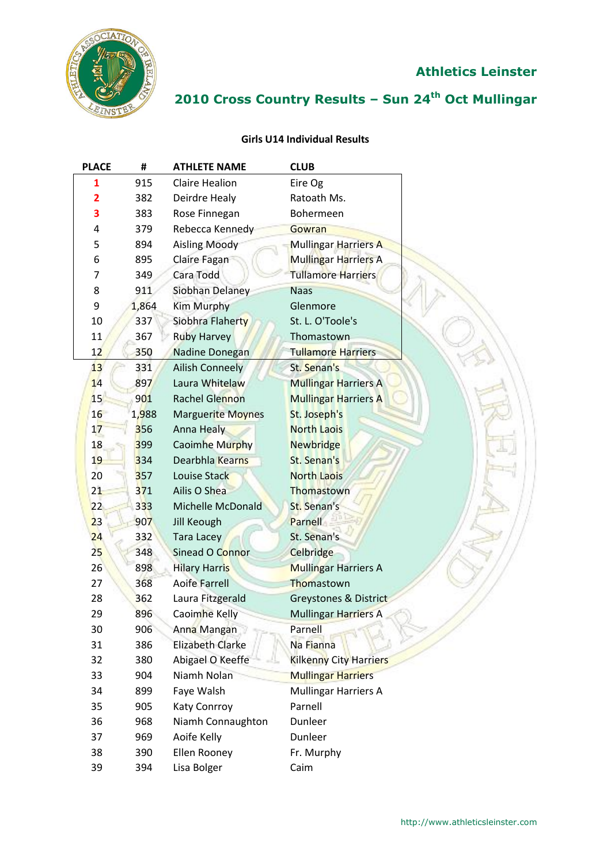

## **2010 Cross Country Results – Sun 24th Oct Mullingar**

#### **Girls U14 Individual Results**

| <b>PLACE</b> | #     | <b>ATHLETE NAME</b>      | <b>CLUB</b>                   |
|--------------|-------|--------------------------|-------------------------------|
| 1            | 915   | <b>Claire Healion</b>    | Eire Og                       |
| 2            | 382   | Deirdre Healy            | Ratoath Ms.                   |
| 3            | 383   | Rose Finnegan            | Bohermeen                     |
| 4            | 379   | Rebecca Kennedy          | Gowran                        |
| 5            | 894   | <b>Aisling Moody</b>     | <b>Mullingar Harriers A</b>   |
| 6            | 895   | Claire Fagan             | Mullingar Harriers A          |
| 7            | 349   | Cara Todd                | Tullamore Harriers            |
| 8            | 911   | Siobhan Delaney          | <b>Naas</b>                   |
| 9            | 1,864 | <b>Kim Murphy</b>        | Glenmore                      |
| 10           | 337   | Siobhra Flaherty         | St. L. O'Toole's              |
| 11           | 367   | <b>Ruby Harvey</b>       | Thomastown                    |
| 12           | 350   | Nadine Donegan           | <b>Tullamore Harriers</b>     |
| 13           | 331   | <b>Ailish Conneely</b>   | St. Senan's                   |
| 14           | 897   | Laura Whitelaw           | <b>Mullingar Harriers A</b>   |
| 15           | 901   | Rachel Glennon           | <b>Mullingar Harriers A</b>   |
| 16           | 1,988 | <b>Marguerite Moynes</b> | St. Joseph's                  |
| 17           | 356   | Anna Healy               | <b>North Laois</b>            |
| 18           | 399   | Caoimhe Murphy           | <b>Newbridge</b>              |
| 19           | 334   | Dearbhla Kearns          | St. Senan's                   |
| 20           | 357   | Louise Stack             | <b>North Laois</b>            |
| 21           | 371   | Ailis O Shea             | Thomastown                    |
| 22           | 333   | Michelle McDonald        | St. Senan's                   |
| 23           | 907   | Jill Keough              | Parnell                       |
| 24           | 332   | <b>Tara Lacey</b>        | St. Senan's                   |
| 25           | 348   | Sinead O Connor          | Celbridge                     |
| 26           | 898   | <b>Hilary Harris</b>     | <b>Mullingar Harriers A</b>   |
| 27           | 368   | <b>Aoife Farrell</b>     | Thomastown                    |
| 28           | 362   | Laura Fitzgerald         | Greystones & District         |
| 29           | 896   | Caoimhe Kelly            | <b>Mullingar Harriers A</b>   |
| 30           | 906   | Anna Mangan              | Parnell                       |
| 31           | 386   | <b>Elizabeth Clarke</b>  | Na Fianna                     |
| 32           | 380   | Abigael O Keeffe         | <b>Kilkenny City Harriers</b> |
| 33           | 904   | Niamh Nolan              | <b>Mullingar Harriers</b>     |
| 34           | 899   | Faye Walsh               | <b>Mullingar Harriers A</b>   |
| 35           | 905   | Katy Conrroy             | Parnell                       |
| 36           | 968   | Niamh Connaughton        | Dunleer                       |
| 37           | 969   | Aoife Kelly              | Dunleer                       |
| 38           | 390   | Ellen Rooney             | Fr. Murphy                    |
| 39           | 394   | Lisa Bolger              | Caim                          |
|              |       |                          |                               |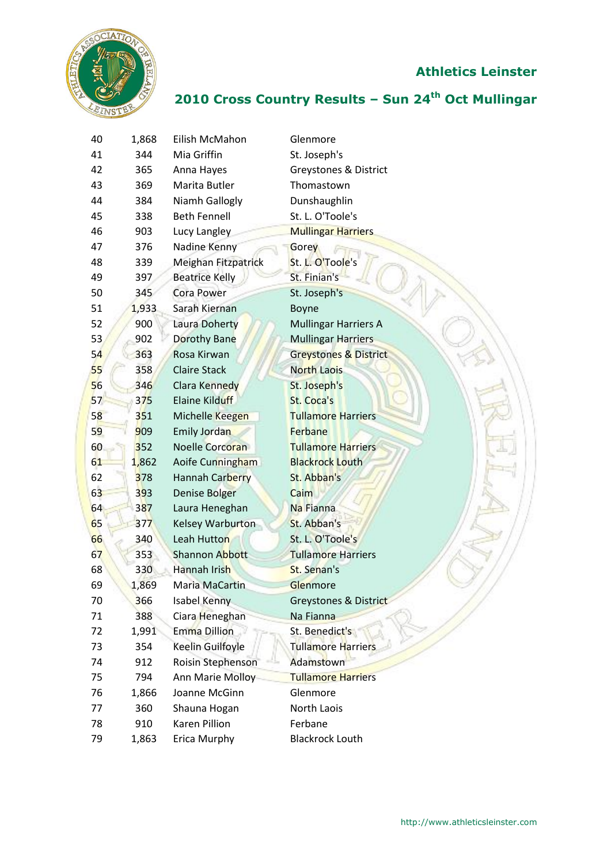

| 40<br>41 | 1,868<br>344 | Eilish McMahon<br>Mia Griffin         | Glenmore                            |
|----------|--------------|---------------------------------------|-------------------------------------|
| 42       | 365          |                                       | St. Joseph's                        |
| 43       | 369          | Anna Hayes<br>Marita Butler           | Greystones & District<br>Thomastown |
| 44       |              |                                       |                                     |
| 45       | 384          | Niamh Gallogly<br><b>Beth Fennell</b> | Dunshaughlin<br>St. L. O'Toole's    |
| 46       | 338          |                                       |                                     |
| 47       | 903          | Lucy Langley                          | <b>Mullingar Harriers</b>           |
|          | 376          | Nadine Kenny                          | Gorey                               |
| 48       | 339          | Meighan Fitzpatrick                   | St. L. O'Toole's                    |
| 49       | 397          | <b>Beatrice Kelly</b>                 | St. Finian's                        |
| 50       | 345          | <b>Cora Power</b>                     | St. Joseph's                        |
| 51       | 1,933        | Sarah Kiernan                         | Boyne                               |
| 52       | 900          | Laura Doherty                         | <b>Mullingar Harriers A</b>         |
| 53       | 902          | <b>Dorothy Bane</b>                   | <b>Mullingar Harriers</b>           |
| 54       | 363          | Rosa Kirwan                           | <b>Greystones &amp; District</b>    |
| 55       | 358          | <b>Claire Stack</b>                   | <b>North Laois</b>                  |
| 56       | 346          | Clara Kennedy                         | St. Joseph's                        |
| 57       | 375          | <b>Elaine Kilduff</b>                 | <b>St. Coca's</b>                   |
| 58       | 351          | Michelle Keegen                       | <b>Tullamore Harriers</b>           |
| 59       | 909          | <b>Emily Jordan</b>                   | Ferbane                             |
| 60       | 352          | Noelle Corcoran                       | <b>Tullamore Harriers</b>           |
| 61       | 1,862        | Aoife Cunningham                      | <b>Blackrock Louth</b>              |
| 62       | 378          | Hannah Carberry                       | St. Abban's                         |
| 63       | 393          | Denise Bolger                         | <b>Caim</b>                         |
| 64       | 387          | Laura Heneghan                        | Na Fianna                           |
| 65       | 377          | Kelsey Warburton                      | St. Abban's                         |
| 66       | 340          | Leah Hutton                           | St. L. O'Toole's                    |
| 67       | 353          | <b>Shannon Abbott</b>                 | <b>Tullamore Harriers</b>           |
| 68       | 330          | Hannah Irish                          | St. Senan's                         |
| 69       | 1,869        | Maria MaCartin                        | Glenmore                            |
| 70       | 366          | Isabel Kenny                          | Greystones & District               |
| 71       | 388          | Ciara Heneghan                        | Na Fianna                           |
| 72       | 1,991        | <b>Emma Dillion</b>                   | St. Benedict's                      |
| 73       | 354          | Keelin Guilfoyle                      | <b>Tullamore Harriers</b>           |
| 74       | 912          | Roisin Stephenson                     | Adamstown                           |
| 75       | 794          | Ann Marie Molloy                      | <b>Tullamore Harriers</b>           |
| 76       | 1,866        | Joanne McGinn                         | Glenmore                            |
| 77       | 360          | Shauna Hogan                          | North Laois                         |
| 78       | 910          | Karen Pillion                         | Ferbane                             |
| 79       | 1,863        | Erica Murphy                          | <b>Blackrock Louth</b>              |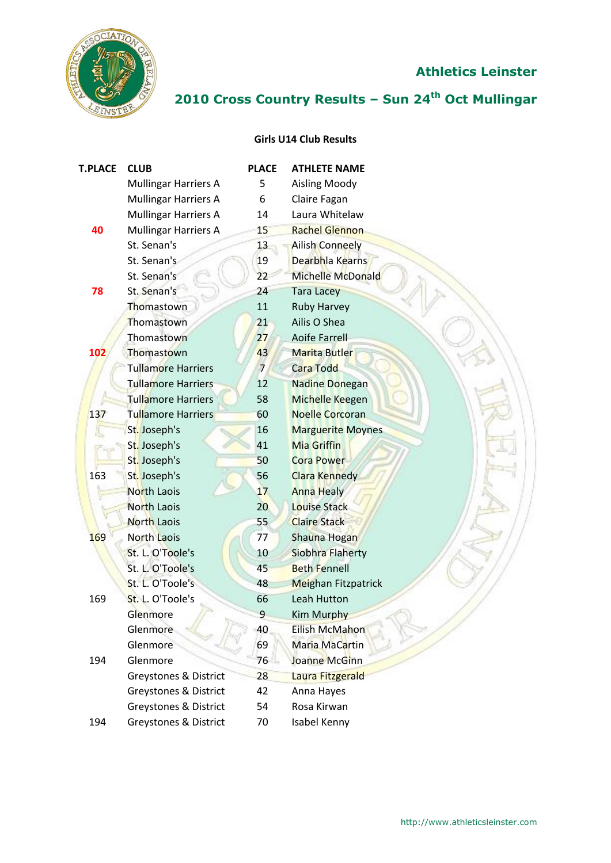

## **2010 Cross Country Results – Sun 24th Oct Mullingar**

#### **Girls U14 Club Results**

| <b>T.PLACE</b> | <b>CLUB</b>                 | <b>PLACE</b>   | <b>ATHLETE NAME</b>        |
|----------------|-----------------------------|----------------|----------------------------|
|                | <b>Mullingar Harriers A</b> | 5              | <b>Aisling Moody</b>       |
|                | <b>Mullingar Harriers A</b> | 6              | Claire Fagan               |
|                | <b>Mullingar Harriers A</b> | 14             | Laura Whitelaw             |
| 40             | <b>Mullingar Harriers A</b> | 15             | <b>Rachel Glennon</b>      |
|                | St. Senan's                 | 13             | <b>Ailish Conneely</b>     |
|                | St. Senan's                 | 19             | Dearbhla Kearns            |
|                | St. Senan's                 | 22             | Michelle McDonald          |
| 78             | St. Senan's                 | 24             | <b>Tara Lacey</b>          |
|                | Thomastown                  | 11             | <b>Ruby Harvey</b>         |
|                | Thomastown                  | 21             | Ailis O Shea               |
|                | Thomastown                  | 27             | <b>Aoife Farrell</b>       |
| 102            | Thomastown                  | 43             | <b>Marita Butler</b>       |
|                | <b>Tullamore Harriers</b>   | $\overline{7}$ | <b>Cara Todd</b>           |
|                | <b>Tullamore Harriers</b>   | 12             | <b>Nadine Donegan</b>      |
|                | <b>Tullamore Harriers</b>   | 58             | <b>Michelle Keegen</b>     |
| 137            | Tullamore Harriers          | 60             | <b>Noelle Corcoran</b>     |
|                | St. Joseph's                | 16             | <b>Marguerite Moynes</b>   |
|                | St. Joseph's                | 41             | <b>Mia Griffin</b>         |
|                | St. Joseph's                | 50             | <b>Cora Power</b>          |
| 163            | St. Joseph's                | 56             | <b>Clara Kennedy</b>       |
|                | <b>North Laois</b>          | 17             | <b>Anna Healy</b>          |
|                | <b>North Laois</b>          | 20             | <b>Louise Stack</b>        |
|                | <b>North Laois</b>          | 55             | <b>Claire Stack</b>        |
| 169            | North Laois                 | 77             | Shauna Hogan               |
|                | St. L. O'Toole's            | 10             | Siobhra Flaherty           |
|                | St. L. O'Toole's            | 45             | <b>Beth Fennell</b>        |
|                | St. L. O'Toole's            | 48             | <b>Meighan Fitzpatrick</b> |
| 169            | St. L. O'Toole's            | 66             | Leah Hutton                |
|                | Glenmore                    | 9              | Kim Murphy                 |
|                | Glenmore                    | 40             | Eilish McMahon             |
|                | Glenmore                    | 69             | Maria MaCartin             |
| 194            | Glenmore                    | 76             | Joanne McGinn              |
|                | Greystones & District       | 28             | Laura Fitzgerald           |
|                | Greystones & District       | 42             | Anna Hayes                 |
|                | Greystones & District       | 54             | Rosa Kirwan                |
| 194            | Greystones & District       | 70             | Isabel Kenny               |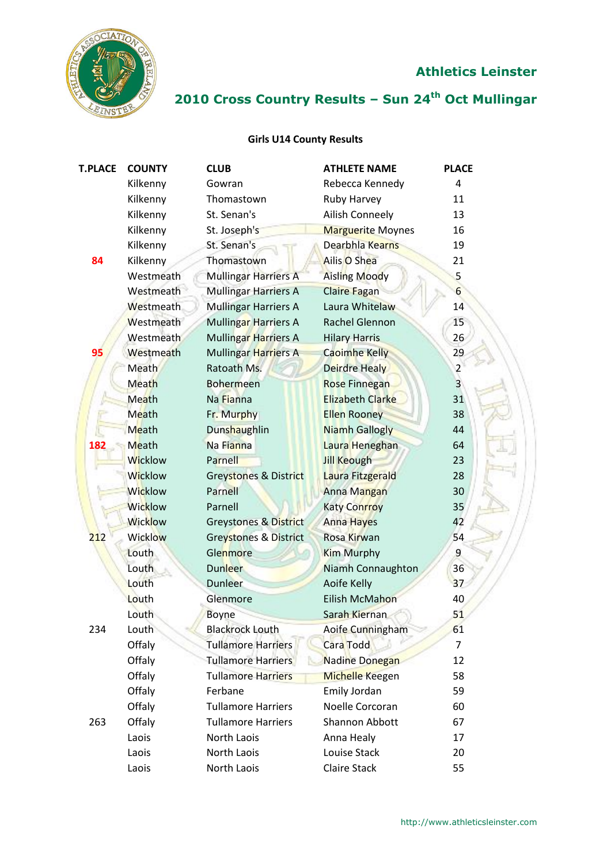

## **2010 Cross Country Results – Sun 24th Oct Mullingar**

#### **Girls U14 County Results**

| <b>T.PLACE</b> | <b>COUNTY</b>  | <b>CLUB</b>                      | <b>ATHLETE NAME</b>      | <b>PLACE</b>            |
|----------------|----------------|----------------------------------|--------------------------|-------------------------|
|                | Kilkenny       | Gowran                           | Rebecca Kennedy          | 4                       |
|                | Kilkenny       | Thomastown                       | Ruby Harvey              | 11                      |
|                | Kilkenny       | St. Senan's                      | Ailish Conneely          | 13                      |
|                | Kilkenny       | St. Joseph's                     | <b>Marguerite Moynes</b> | 16                      |
|                | Kilkenny       | St. Senan's                      | Dearbhla Kearns          | 19                      |
| 84             | Kilkenny       | Thomastown                       | Ailis O Shea             | 21                      |
|                | Westmeath      | <b>Mullingar Harriers A</b>      | <b>Aisling Moody</b>     | 5                       |
|                | Westmeath      | <b>Mullingar Harriers A</b>      | <b>Claire Fagan</b>      | $6 \overline{6}$        |
|                | Westmeath      | <b>Mullingar Harriers A</b>      | Laura Whitelaw           | 14                      |
|                | Westmeath      | <b>Mullingar Harriers A</b>      | Rachel Glennon           | 15                      |
|                | Westmeath      | <b>Mullingar Harriers A</b>      | <b>Hilary Harris</b>     | 26                      |
| 95             | Westmeath      | <b>Mullingar Harriers A</b>      | <b>Caoimhe Kelly</b>     | 29                      |
|                | Meath          | Ratoath Ms.                      | <b>Deirdre Healy</b>     | $\overline{2}$          |
|                | Meath          | <b>Bohermeen</b>                 | <b>Rose Finnegan</b>     | $\overline{\mathbf{3}}$ |
|                | <b>Meath</b>   | Na Fianna                        | <b>Elizabeth Clarke</b>  | 31                      |
|                | Meath          | Fr. Murphy                       | <b>Ellen Rooney</b>      | 38                      |
|                | Meath          | <b>Dunshaughlin</b>              | <b>Niamh Gallogly</b>    | 44                      |
| 182            | Meath          | Na Fianna                        | Laura Heneghan           | 64                      |
|                | <b>Wicklow</b> | Parnell                          | <b>Jill Keough</b>       | 23                      |
|                | <b>Wicklow</b> | Greystones & District            | Laura Fitzgerald         | 28                      |
|                | <b>Wicklow</b> | Parnell                          | <b>Anna Mangan</b>       | 30                      |
|                | Wicklow        | Parnell                          | <b>Katy Conrroy</b>      | 35                      |
|                | <b>Wicklow</b> | Greystones & District            | <b>Anna Hayes</b>        | 42                      |
| 212            | Wicklow        | <b>Greystones &amp; District</b> | Rosa Kirwan              | 54                      |
|                | Louth          | Glenmore                         | <b>Kim Murphy</b>        | 9                       |
|                | Louth          | <b>Dunleer</b>                   | Niamh Connaughton        | 36                      |
|                | Louth          | <b>Dunleer</b>                   | Aoife Kelly              | 37                      |
|                | Louth          | Glenmore                         | <b>Eilish McMahon</b>    | 40                      |
|                | Louth          | <b>Boyne</b>                     | Sarah Kiernan            | 51                      |
| 234            | Louth          | <b>Blackrock Louth</b>           | Aoife Cunningham         | 61                      |
|                | Offaly         | <b>Tullamore Harriers</b>        | Cara Todd                | 7                       |
|                | Offaly         | Tullamore Harriers               | <b>Nadine Donegan</b>    | 12                      |
|                | Offaly         | <b>Tullamore Harriers</b>        | <b>Michelle Keegen</b>   | 58                      |
|                | Offaly         | Ferbane                          | Emily Jordan             | 59                      |
|                | Offaly         | <b>Tullamore Harriers</b>        | Noelle Corcoran          | 60                      |
| 263            | Offaly         | <b>Tullamore Harriers</b>        | Shannon Abbott           | 67                      |
|                | Laois          | North Laois                      | Anna Healy               | 17                      |
|                | Laois          | North Laois                      | Louise Stack             | 20                      |
|                | Laois          | North Laois                      | Claire Stack             | 55                      |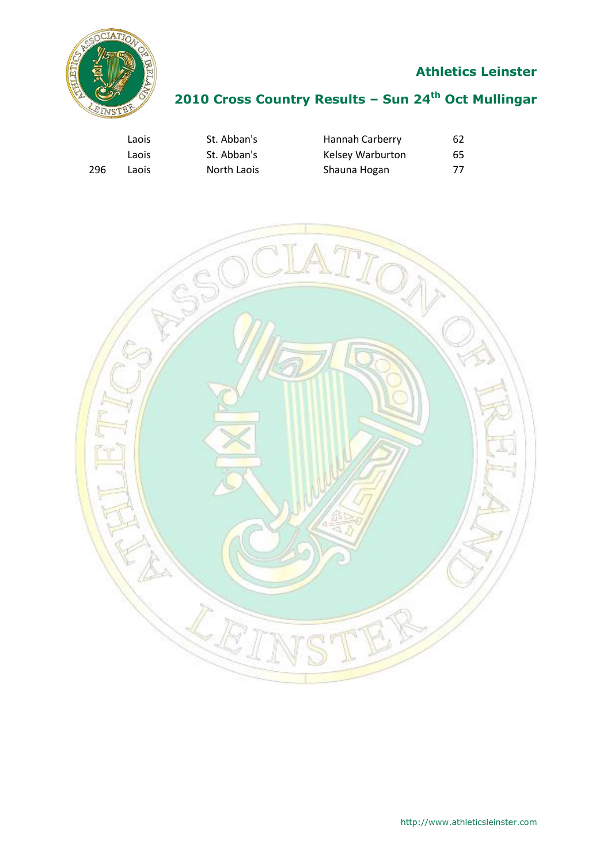

|     | Laois | St. Abban's | Hannah Carberry  | 62 |
|-----|-------|-------------|------------------|----|
|     | Laois | St. Abban's | Kelsey Warburton | 65 |
| 296 | Laois | North Laois | Shauna Hogan     | 77 |

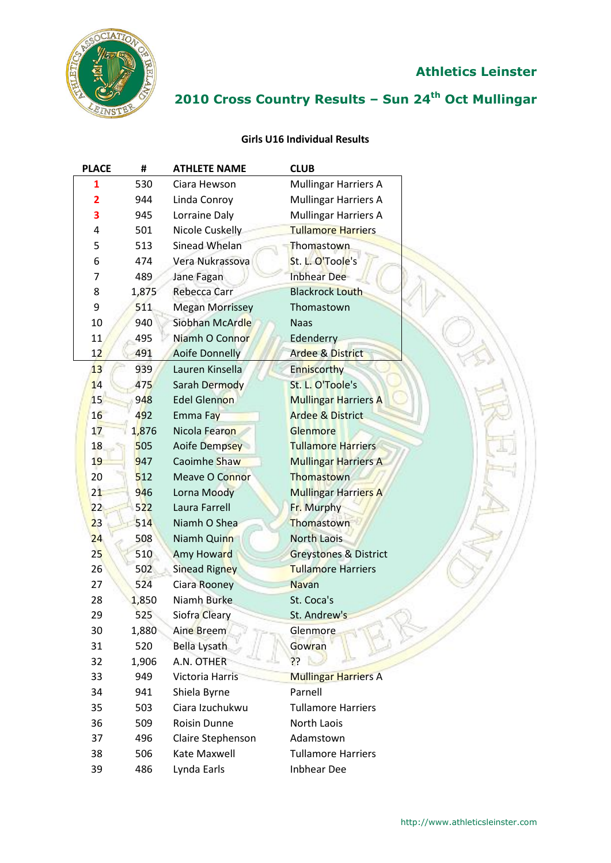

## **2010 Cross Country Results – Sun 24th Oct Mullingar**

#### **Girls U16 Individual Results**

| 530<br>Ciara Hewson<br><b>Mullingar Harriers A</b><br>1<br>Linda Conroy<br><b>Mullingar Harriers A</b><br>2<br>944<br>3<br>945<br>Lorraine Daly<br><b>Mullingar Harriers A</b><br>Nicole Cuskelly<br><b>Tullamore Harriers</b><br>501<br>4<br>5<br>513<br>Sinead Whelan<br>Thomastown<br>St. L. O'Toole's<br>6<br>474<br>Vera Nukrassova<br><b>Inbhear Dee</b><br>7<br>489<br>Jane Fagan<br>Rebecca Carr<br><b>Blackrock Louth</b><br>8<br>1,875<br>9<br>511<br><b>Megan Morrissey</b><br>Thomastown<br>Siobhan McArdle<br>10<br>940<br><b>Naas</b><br>495<br>11<br>Niamh O Connor<br>Edenderry<br>491<br><b>Ardee &amp; District</b><br>12<br><b>Aoife Donnelly</b><br>13<br>Lauren Kinsella<br>Enniscorthy<br>939<br>St. L. O'Toole's<br>14<br>475<br>Sarah Dermody<br>15<br><b>Edel Glennon</b><br>948<br><b>Mullingar Harriers A</b><br>16<br>492<br><b>Ardee &amp; District</b><br>Emma Fay<br>1,876<br>17<br>Nicola Fearon<br><b>Glenmore</b><br>505<br>Aoife Dempsey<br><b>Tullamore Harriers</b><br>18<br>947<br>Caoimhe Shaw<br>19<br><b>Mullingar Harriers A</b><br>512<br>Thomastown<br>20<br>Meave O Connor<br>21<br>946<br><b>Mullingar Harriers A</b><br>Lorna Moody<br>22<br>522<br>Laura Farrell<br>Fr. Murphy<br>514<br>23<br>Niamh O Shea<br>Thomastown<br><b>North Laois</b><br>24<br>508<br>Niamh Quinn<br>25<br>510<br><b>Greystones &amp; District</b><br>Amy Howard<br><b>Tullamore Harriers</b><br>26<br><b>Sinead Rigney</b><br>502<br>524<br>27<br><b>Ciara Rooney</b><br><b>Navan</b><br>28<br>Niamh Burke<br>St. Coca's<br>1,850<br>525<br>29<br>Siofra Cleary<br>St. Andrew's<br>Aine Breem<br>30<br>1,880<br>Glenmore<br>Gowran<br><b>Bella Lysath</b><br>31<br>520<br>$\mathbb{R}$<br>??<br>A.N. OTHER<br>32<br>1,906<br>33<br><b>Victoria Harris</b><br>949<br><b>Mullingar Harriers A</b><br>Parnell<br>34<br>941<br>Shiela Byrne<br><b>Tullamore Harriers</b><br>35<br>Ciara Izuchukwu<br>503<br>Roisin Dunne<br>North Laois<br>36<br>509<br>37<br>Adamstown<br>496<br>Claire Stephenson<br>Kate Maxwell<br><b>Tullamore Harriers</b><br>38<br>506<br>486<br>Lynda Earls<br><b>Inbhear Dee</b><br>39 | <b>PLACE</b> | # | <b>ATHLETE NAME</b> | <b>CLUB</b> |
|----------------------------------------------------------------------------------------------------------------------------------------------------------------------------------------------------------------------------------------------------------------------------------------------------------------------------------------------------------------------------------------------------------------------------------------------------------------------------------------------------------------------------------------------------------------------------------------------------------------------------------------------------------------------------------------------------------------------------------------------------------------------------------------------------------------------------------------------------------------------------------------------------------------------------------------------------------------------------------------------------------------------------------------------------------------------------------------------------------------------------------------------------------------------------------------------------------------------------------------------------------------------------------------------------------------------------------------------------------------------------------------------------------------------------------------------------------------------------------------------------------------------------------------------------------------------------------------------------------------------------------------------------------------------------------------------------------------------------------------------------------------------------------------------------------------------------------------------------------------------------------------------------------------------------------------------------------------------------------------------------------------------------------------------------------------------------------------------------------------------------------------|--------------|---|---------------------|-------------|
|                                                                                                                                                                                                                                                                                                                                                                                                                                                                                                                                                                                                                                                                                                                                                                                                                                                                                                                                                                                                                                                                                                                                                                                                                                                                                                                                                                                                                                                                                                                                                                                                                                                                                                                                                                                                                                                                                                                                                                                                                                                                                                                                        |              |   |                     |             |
|                                                                                                                                                                                                                                                                                                                                                                                                                                                                                                                                                                                                                                                                                                                                                                                                                                                                                                                                                                                                                                                                                                                                                                                                                                                                                                                                                                                                                                                                                                                                                                                                                                                                                                                                                                                                                                                                                                                                                                                                                                                                                                                                        |              |   |                     |             |
|                                                                                                                                                                                                                                                                                                                                                                                                                                                                                                                                                                                                                                                                                                                                                                                                                                                                                                                                                                                                                                                                                                                                                                                                                                                                                                                                                                                                                                                                                                                                                                                                                                                                                                                                                                                                                                                                                                                                                                                                                                                                                                                                        |              |   |                     |             |
|                                                                                                                                                                                                                                                                                                                                                                                                                                                                                                                                                                                                                                                                                                                                                                                                                                                                                                                                                                                                                                                                                                                                                                                                                                                                                                                                                                                                                                                                                                                                                                                                                                                                                                                                                                                                                                                                                                                                                                                                                                                                                                                                        |              |   |                     |             |
|                                                                                                                                                                                                                                                                                                                                                                                                                                                                                                                                                                                                                                                                                                                                                                                                                                                                                                                                                                                                                                                                                                                                                                                                                                                                                                                                                                                                                                                                                                                                                                                                                                                                                                                                                                                                                                                                                                                                                                                                                                                                                                                                        |              |   |                     |             |
|                                                                                                                                                                                                                                                                                                                                                                                                                                                                                                                                                                                                                                                                                                                                                                                                                                                                                                                                                                                                                                                                                                                                                                                                                                                                                                                                                                                                                                                                                                                                                                                                                                                                                                                                                                                                                                                                                                                                                                                                                                                                                                                                        |              |   |                     |             |
|                                                                                                                                                                                                                                                                                                                                                                                                                                                                                                                                                                                                                                                                                                                                                                                                                                                                                                                                                                                                                                                                                                                                                                                                                                                                                                                                                                                                                                                                                                                                                                                                                                                                                                                                                                                                                                                                                                                                                                                                                                                                                                                                        |              |   |                     |             |
|                                                                                                                                                                                                                                                                                                                                                                                                                                                                                                                                                                                                                                                                                                                                                                                                                                                                                                                                                                                                                                                                                                                                                                                                                                                                                                                                                                                                                                                                                                                                                                                                                                                                                                                                                                                                                                                                                                                                                                                                                                                                                                                                        |              |   |                     |             |
|                                                                                                                                                                                                                                                                                                                                                                                                                                                                                                                                                                                                                                                                                                                                                                                                                                                                                                                                                                                                                                                                                                                                                                                                                                                                                                                                                                                                                                                                                                                                                                                                                                                                                                                                                                                                                                                                                                                                                                                                                                                                                                                                        |              |   |                     |             |
|                                                                                                                                                                                                                                                                                                                                                                                                                                                                                                                                                                                                                                                                                                                                                                                                                                                                                                                                                                                                                                                                                                                                                                                                                                                                                                                                                                                                                                                                                                                                                                                                                                                                                                                                                                                                                                                                                                                                                                                                                                                                                                                                        |              |   |                     |             |
|                                                                                                                                                                                                                                                                                                                                                                                                                                                                                                                                                                                                                                                                                                                                                                                                                                                                                                                                                                                                                                                                                                                                                                                                                                                                                                                                                                                                                                                                                                                                                                                                                                                                                                                                                                                                                                                                                                                                                                                                                                                                                                                                        |              |   |                     |             |
|                                                                                                                                                                                                                                                                                                                                                                                                                                                                                                                                                                                                                                                                                                                                                                                                                                                                                                                                                                                                                                                                                                                                                                                                                                                                                                                                                                                                                                                                                                                                                                                                                                                                                                                                                                                                                                                                                                                                                                                                                                                                                                                                        |              |   |                     |             |
|                                                                                                                                                                                                                                                                                                                                                                                                                                                                                                                                                                                                                                                                                                                                                                                                                                                                                                                                                                                                                                                                                                                                                                                                                                                                                                                                                                                                                                                                                                                                                                                                                                                                                                                                                                                                                                                                                                                                                                                                                                                                                                                                        |              |   |                     |             |
|                                                                                                                                                                                                                                                                                                                                                                                                                                                                                                                                                                                                                                                                                                                                                                                                                                                                                                                                                                                                                                                                                                                                                                                                                                                                                                                                                                                                                                                                                                                                                                                                                                                                                                                                                                                                                                                                                                                                                                                                                                                                                                                                        |              |   |                     |             |
|                                                                                                                                                                                                                                                                                                                                                                                                                                                                                                                                                                                                                                                                                                                                                                                                                                                                                                                                                                                                                                                                                                                                                                                                                                                                                                                                                                                                                                                                                                                                                                                                                                                                                                                                                                                                                                                                                                                                                                                                                                                                                                                                        |              |   |                     |             |
|                                                                                                                                                                                                                                                                                                                                                                                                                                                                                                                                                                                                                                                                                                                                                                                                                                                                                                                                                                                                                                                                                                                                                                                                                                                                                                                                                                                                                                                                                                                                                                                                                                                                                                                                                                                                                                                                                                                                                                                                                                                                                                                                        |              |   |                     |             |
|                                                                                                                                                                                                                                                                                                                                                                                                                                                                                                                                                                                                                                                                                                                                                                                                                                                                                                                                                                                                                                                                                                                                                                                                                                                                                                                                                                                                                                                                                                                                                                                                                                                                                                                                                                                                                                                                                                                                                                                                                                                                                                                                        |              |   |                     |             |
|                                                                                                                                                                                                                                                                                                                                                                                                                                                                                                                                                                                                                                                                                                                                                                                                                                                                                                                                                                                                                                                                                                                                                                                                                                                                                                                                                                                                                                                                                                                                                                                                                                                                                                                                                                                                                                                                                                                                                                                                                                                                                                                                        |              |   |                     |             |
|                                                                                                                                                                                                                                                                                                                                                                                                                                                                                                                                                                                                                                                                                                                                                                                                                                                                                                                                                                                                                                                                                                                                                                                                                                                                                                                                                                                                                                                                                                                                                                                                                                                                                                                                                                                                                                                                                                                                                                                                                                                                                                                                        |              |   |                     |             |
|                                                                                                                                                                                                                                                                                                                                                                                                                                                                                                                                                                                                                                                                                                                                                                                                                                                                                                                                                                                                                                                                                                                                                                                                                                                                                                                                                                                                                                                                                                                                                                                                                                                                                                                                                                                                                                                                                                                                                                                                                                                                                                                                        |              |   |                     |             |
|                                                                                                                                                                                                                                                                                                                                                                                                                                                                                                                                                                                                                                                                                                                                                                                                                                                                                                                                                                                                                                                                                                                                                                                                                                                                                                                                                                                                                                                                                                                                                                                                                                                                                                                                                                                                                                                                                                                                                                                                                                                                                                                                        |              |   |                     |             |
|                                                                                                                                                                                                                                                                                                                                                                                                                                                                                                                                                                                                                                                                                                                                                                                                                                                                                                                                                                                                                                                                                                                                                                                                                                                                                                                                                                                                                                                                                                                                                                                                                                                                                                                                                                                                                                                                                                                                                                                                                                                                                                                                        |              |   |                     |             |
|                                                                                                                                                                                                                                                                                                                                                                                                                                                                                                                                                                                                                                                                                                                                                                                                                                                                                                                                                                                                                                                                                                                                                                                                                                                                                                                                                                                                                                                                                                                                                                                                                                                                                                                                                                                                                                                                                                                                                                                                                                                                                                                                        |              |   |                     |             |
|                                                                                                                                                                                                                                                                                                                                                                                                                                                                                                                                                                                                                                                                                                                                                                                                                                                                                                                                                                                                                                                                                                                                                                                                                                                                                                                                                                                                                                                                                                                                                                                                                                                                                                                                                                                                                                                                                                                                                                                                                                                                                                                                        |              |   |                     |             |
|                                                                                                                                                                                                                                                                                                                                                                                                                                                                                                                                                                                                                                                                                                                                                                                                                                                                                                                                                                                                                                                                                                                                                                                                                                                                                                                                                                                                                                                                                                                                                                                                                                                                                                                                                                                                                                                                                                                                                                                                                                                                                                                                        |              |   |                     |             |
|                                                                                                                                                                                                                                                                                                                                                                                                                                                                                                                                                                                                                                                                                                                                                                                                                                                                                                                                                                                                                                                                                                                                                                                                                                                                                                                                                                                                                                                                                                                                                                                                                                                                                                                                                                                                                                                                                                                                                                                                                                                                                                                                        |              |   |                     |             |
|                                                                                                                                                                                                                                                                                                                                                                                                                                                                                                                                                                                                                                                                                                                                                                                                                                                                                                                                                                                                                                                                                                                                                                                                                                                                                                                                                                                                                                                                                                                                                                                                                                                                                                                                                                                                                                                                                                                                                                                                                                                                                                                                        |              |   |                     |             |
|                                                                                                                                                                                                                                                                                                                                                                                                                                                                                                                                                                                                                                                                                                                                                                                                                                                                                                                                                                                                                                                                                                                                                                                                                                                                                                                                                                                                                                                                                                                                                                                                                                                                                                                                                                                                                                                                                                                                                                                                                                                                                                                                        |              |   |                     |             |
|                                                                                                                                                                                                                                                                                                                                                                                                                                                                                                                                                                                                                                                                                                                                                                                                                                                                                                                                                                                                                                                                                                                                                                                                                                                                                                                                                                                                                                                                                                                                                                                                                                                                                                                                                                                                                                                                                                                                                                                                                                                                                                                                        |              |   |                     |             |
|                                                                                                                                                                                                                                                                                                                                                                                                                                                                                                                                                                                                                                                                                                                                                                                                                                                                                                                                                                                                                                                                                                                                                                                                                                                                                                                                                                                                                                                                                                                                                                                                                                                                                                                                                                                                                                                                                                                                                                                                                                                                                                                                        |              |   |                     |             |
|                                                                                                                                                                                                                                                                                                                                                                                                                                                                                                                                                                                                                                                                                                                                                                                                                                                                                                                                                                                                                                                                                                                                                                                                                                                                                                                                                                                                                                                                                                                                                                                                                                                                                                                                                                                                                                                                                                                                                                                                                                                                                                                                        |              |   |                     |             |
|                                                                                                                                                                                                                                                                                                                                                                                                                                                                                                                                                                                                                                                                                                                                                                                                                                                                                                                                                                                                                                                                                                                                                                                                                                                                                                                                                                                                                                                                                                                                                                                                                                                                                                                                                                                                                                                                                                                                                                                                                                                                                                                                        |              |   |                     |             |
|                                                                                                                                                                                                                                                                                                                                                                                                                                                                                                                                                                                                                                                                                                                                                                                                                                                                                                                                                                                                                                                                                                                                                                                                                                                                                                                                                                                                                                                                                                                                                                                                                                                                                                                                                                                                                                                                                                                                                                                                                                                                                                                                        |              |   |                     |             |
|                                                                                                                                                                                                                                                                                                                                                                                                                                                                                                                                                                                                                                                                                                                                                                                                                                                                                                                                                                                                                                                                                                                                                                                                                                                                                                                                                                                                                                                                                                                                                                                                                                                                                                                                                                                                                                                                                                                                                                                                                                                                                                                                        |              |   |                     |             |
|                                                                                                                                                                                                                                                                                                                                                                                                                                                                                                                                                                                                                                                                                                                                                                                                                                                                                                                                                                                                                                                                                                                                                                                                                                                                                                                                                                                                                                                                                                                                                                                                                                                                                                                                                                                                                                                                                                                                                                                                                                                                                                                                        |              |   |                     |             |
|                                                                                                                                                                                                                                                                                                                                                                                                                                                                                                                                                                                                                                                                                                                                                                                                                                                                                                                                                                                                                                                                                                                                                                                                                                                                                                                                                                                                                                                                                                                                                                                                                                                                                                                                                                                                                                                                                                                                                                                                                                                                                                                                        |              |   |                     |             |
|                                                                                                                                                                                                                                                                                                                                                                                                                                                                                                                                                                                                                                                                                                                                                                                                                                                                                                                                                                                                                                                                                                                                                                                                                                                                                                                                                                                                                                                                                                                                                                                                                                                                                                                                                                                                                                                                                                                                                                                                                                                                                                                                        |              |   |                     |             |
|                                                                                                                                                                                                                                                                                                                                                                                                                                                                                                                                                                                                                                                                                                                                                                                                                                                                                                                                                                                                                                                                                                                                                                                                                                                                                                                                                                                                                                                                                                                                                                                                                                                                                                                                                                                                                                                                                                                                                                                                                                                                                                                                        |              |   |                     |             |
|                                                                                                                                                                                                                                                                                                                                                                                                                                                                                                                                                                                                                                                                                                                                                                                                                                                                                                                                                                                                                                                                                                                                                                                                                                                                                                                                                                                                                                                                                                                                                                                                                                                                                                                                                                                                                                                                                                                                                                                                                                                                                                                                        |              |   |                     |             |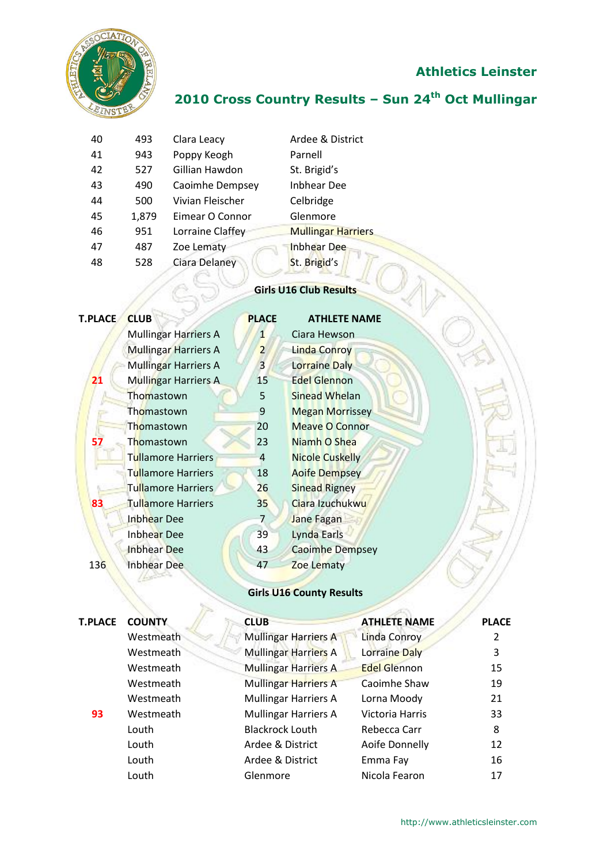

## **2010 Cross Country Results – Sun 24th Oct Mullingar**

| 40 | 493   | Clara Leacy          | Ardee & District          |
|----|-------|----------------------|---------------------------|
| 41 | 943   | Poppy Keogh          | Parnell                   |
| 42 | 527   | Gillian Hawdon       | St. Brigid's              |
| 43 | 490   | Caoimhe Dempsey      | <b>Inbhear Dee</b>        |
| 44 | 500   | Vivian Fleischer     | Celbridge                 |
| 45 | 1,879 | Eimear O Connor      | Glenmore                  |
| 46 | 951   | Lorraine Claffey     | <b>Mullingar Harriers</b> |
| 47 | 487   | Zoe Lematy           | Inbhear Dee               |
| 48 | 528   | <b>Ciara Delaney</b> | St. Brigid's              |
|    |       |                      |                           |

#### **Girls U16 Club Results**

| <b>T.PLACE</b> | <b>CLUB</b>                 | <b>PLACE</b>   | <b>ATHLETE NAME</b>    |  |
|----------------|-----------------------------|----------------|------------------------|--|
|                | <b>Mullingar Harriers A</b> | $\mathbf{1}$   | Ciara Hewson           |  |
|                | <b>Mullingar Harriers A</b> | $\overline{2}$ | <b>Linda Conroy</b>    |  |
|                | <b>Mullingar Harriers A</b> | 3              | <b>Lorraine Daly</b>   |  |
| 21             | <b>Mullingar Harriers A</b> | 15             | <b>Edel Glennon</b>    |  |
|                | Thomastown                  | 5              | <b>Sinead Whelan</b>   |  |
|                | Thomastown                  | 9              | <b>Megan Morrissey</b> |  |
|                | Thomastown                  | 20             | <b>Meave O Connor</b>  |  |
|                | Thomastown                  | 23             | Niamh O Shea           |  |
|                | <b>Tullamore Harriers</b>   | 4              | <b>Nicole Cuskelly</b> |  |
|                | Tullamore Harriers          | 18             | <b>Aoife Dempsey</b>   |  |
|                | <b>Tullamore Harriers</b>   | 26             | <b>Sinead Rigney</b>   |  |
| 83             | <b>Tullamore Harriers</b>   | 35             | Ciara Izuchukwu        |  |
|                | <b>Inbhear Dee</b>          | 7              | <b>Jane Fagan</b>      |  |
|                | <b>Inbhear Dee</b>          | 39             | Lynda Earls            |  |
|                | <b>Inbhear Dee</b>          | 43             | <b>Caoimhe Dempsey</b> |  |
| 136            | <b>Inbhear Dee</b>          | 47             | Zoe Lematy             |  |
|                |                             |                |                        |  |

#### **Girls U16 County Results**

| <b>T.PLACE</b> | <b>COUNTY</b> | <b>CLUB</b>                 | <b>ATHLETE NAME</b>  | <b>PLACE</b> |
|----------------|---------------|-----------------------------|----------------------|--------------|
|                | Westmeath     | <b>Mullingar Harriers A</b> | <b>Linda Conroy</b>  | 2            |
|                | Westmeath     | <b>Mullingar Harriers A</b> | <b>Lorraine Daly</b> | 3            |
|                | Westmeath     | <b>Mullingar Harriers A</b> | <b>Edel Glennon</b>  | 15           |
|                | Westmeath     | <b>Mullingar Harriers A</b> | Caoimhe Shaw         | 19           |
|                | Westmeath     | <b>Mullingar Harriers A</b> | Lorna Moody          | 21           |
| 93             | Westmeath     | <b>Mullingar Harriers A</b> | Victoria Harris      | 33           |
|                | Louth         | <b>Blackrock Louth</b>      | Rebecca Carr         | 8            |
|                | Louth         | Ardee & District            | Aoife Donnelly       | 12           |
|                | Louth         | Ardee & District            | Emma Fay             | 16           |
|                | Louth         | Glenmore                    | Nicola Fearon        | 17           |
|                |               |                             |                      |              |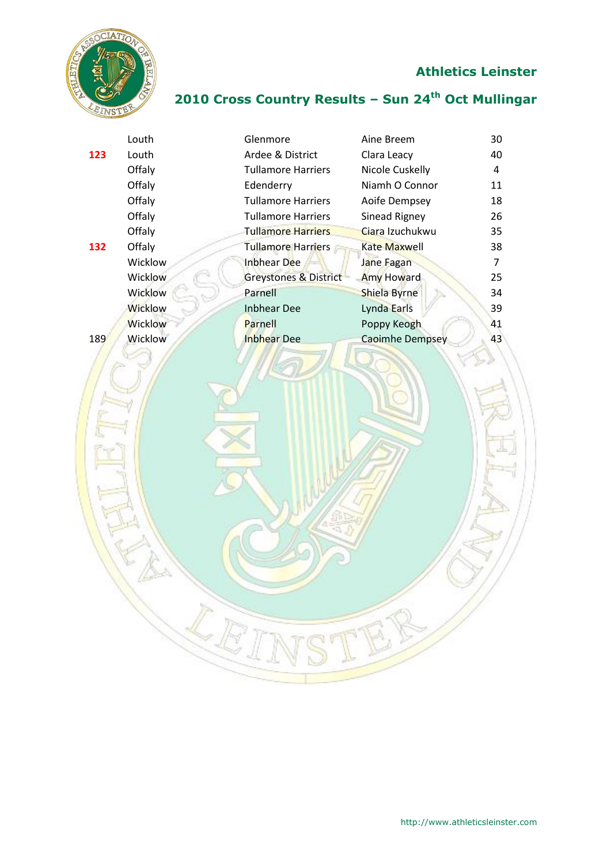

|     | Louth          | Glenmore                         | Aine Breem             | 30             |
|-----|----------------|----------------------------------|------------------------|----------------|
| 123 | Louth          | Ardee & District                 | Clara Leacy            | 40             |
|     | Offaly         | <b>Tullamore Harriers</b>        | Nicole Cuskelly        | 4              |
|     | Offaly         | Edenderry                        | Niamh O Connor         | 11             |
|     | Offaly         | <b>Tullamore Harriers</b>        | Aoife Dempsey          | 18             |
|     | Offaly         | <b>Tullamore Harriers</b>        | Sinead Rigney          | 26             |
|     | Offaly         | <b>Tullamore Harriers</b>        | Ciara Izuchukwu        | 35             |
| 132 | Offaly         | Tullamore Harriers               | Kate Maxwell           | 38             |
|     | Wicklow        | Inbhear Dee                      | Jane Fagan             | $\overline{7}$ |
|     | Wicklow        | <b>Greystones &amp; District</b> | <b>Amy Howard</b>      | 25             |
|     | Wicklow        | Parnell                          | Shiela Byrne           | 34             |
|     | <b>Wicklow</b> | <b>Inbhear Dee</b>               | Lynda Earls            | 39             |
|     | <b>Wicklow</b> | Parnell                          | Poppy Keogh            | 41             |
| 189 | Wicklow        | <b>Inbhear Dee</b>               | <b>Caoimhe Dempsey</b> | 43             |
|     |                | EINSTE                           |                        |                |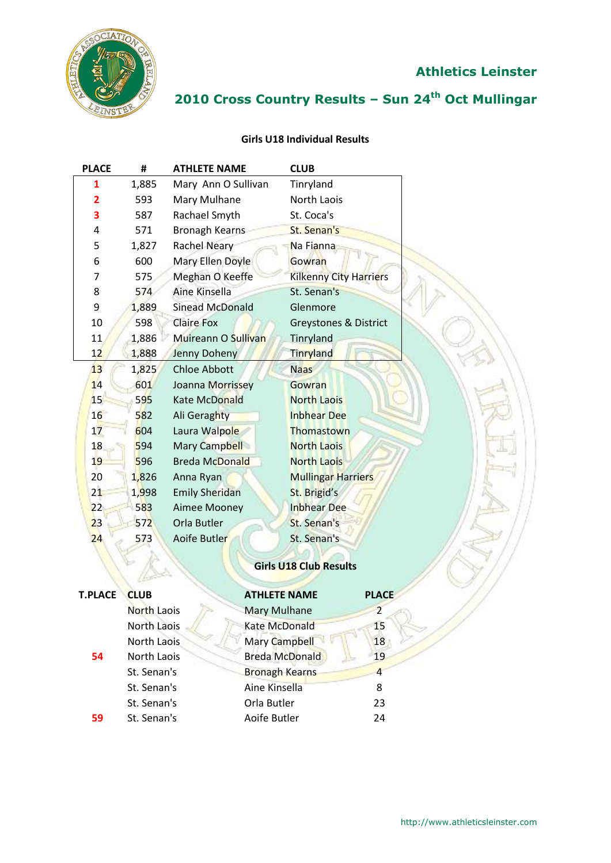

## **2010 Cross Country Results – Sun 24th Oct Mullingar**

#### **Girls U18 Individual Results**

| <b>PLACE</b>   | #           | <b>ATHLETE NAME</b>    | <b>CLUB</b>                         |
|----------------|-------------|------------------------|-------------------------------------|
| $\mathbf{1}$   | 1,885       | Mary Ann O Sullivan    | Tinryland                           |
| $\overline{2}$ | 593         | Mary Mulhane           | North Laois                         |
| 3              | 587         | Rachael Smyth          | St. Coca's                          |
| 4              | 571         | <b>Bronagh Kearns</b>  | St. Senan's                         |
| 5              | 1,827       | <b>Rachel Neary</b>    | Na Fianna                           |
| 6              | 600         | Mary Ellen Doyle       | Gowran                              |
| 7              | 575         | Meghan O Keeffe        | <b>Kilkenny City Harriers</b>       |
| 8              | 574         | Aine Kinsella          | St. Senan's                         |
| 9              | 1,889       | <b>Sinead McDonald</b> | Glenmore                            |
| 10             | 598         | <b>Claire Fox</b>      | Greystones & District               |
| 11             | 1,886       | Muireann O Sullivan    | Tinryland                           |
| 12             | 1,888       | Jenny Doheny           | <b>Tinryland</b>                    |
| 13             | 1,825       | <b>Chloe Abbott</b>    | <b>Naas</b>                         |
| 14             | 601         | Joanna Morrissey       | Gowran                              |
| 15             | 595         | <b>Kate McDonald</b>   | <b>North Laois</b>                  |
| 16             | 582         | Ali Geraghty           | <b>Inbhear Dee</b>                  |
| 17             | 604         | Laura Walpole          | Thomastown                          |
| 18             | 594         | Mary Campbell          | <b>North Laois</b>                  |
| 19             | 596         | <b>Breda McDonald</b>  | <b>North Laois</b>                  |
| 20             | 1,826       | Anna Ryan              | <b>Mullingar Harriers</b>           |
| 21             | 1,998       | <b>Emily Sheridan</b>  | St. Brigid's                        |
| 22             | 583         | Aimee Mooney           | <b>Inbhear Dee</b>                  |
| 23             | 572         | Orla Butler            | St. Senan's                         |
| 24             | 573         | Aoife Butler           | St. Senan's                         |
|                |             |                        | <b>Girls U18 Club Results</b>       |
| <b>T.PLACE</b> | <b>CLUB</b> |                        | <b>ATHLETE NAME</b><br><b>PLACE</b> |
|                | North Laois |                        | Mary Mulhane<br>2                   |

| .PLACE | <b>CLUB</b> | <b>ATHLETE NAME</b>   | <b>PLACE</b> |
|--------|-------------|-----------------------|--------------|
|        | North Laois | Mary Mulhane          |              |
|        | North Laois | <b>Kate McDonald</b>  | 15           |
|        | North Laois | <b>Mary Campbell</b>  | 18           |
| 54     | North Laois | <b>Breda McDonald</b> | 19           |
|        | St. Senan's | <b>Bronagh Kearns</b> |              |
|        | St. Senan's | Aine Kinsella         | 8            |
|        | St. Senan's | Orla Butler           | 23           |
| 59     | St. Senan's | Aoife Butler          | 24           |
|        |             |                       |              |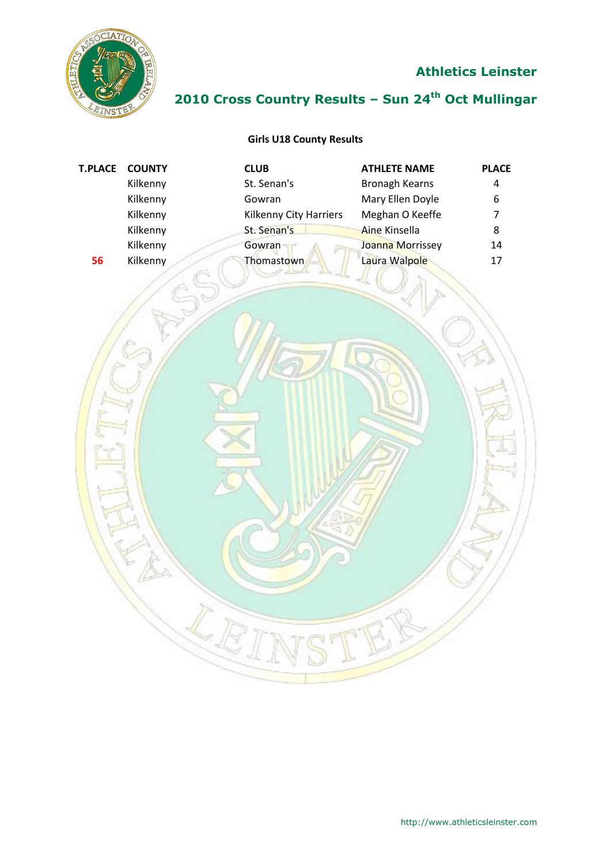

## **2010 Cross Country Results – Sun 24th Oct Mullingar**

#### **Girls U18 County Results**

| <b>T.PLACE</b> | <b>COUNTY</b> | <b>CLUB</b>            | <b>ATHLETE NAME</b>   | <b>PLACE</b>   |
|----------------|---------------|------------------------|-----------------------|----------------|
|                | Kilkenny      | St. Senan's            | <b>Bronagh Kearns</b> | $\overline{4}$ |
|                | Kilkenny      | Gowran                 | Mary Ellen Doyle      | $6\,$          |
|                | Kilkenny      | Kilkenny City Harriers | Meghan O Keeffe       | $\overline{7}$ |
|                | Kilkenny      | St. Senan's            | Aine Kinsella         | 8              |
|                | Kilkenny      | Gowran                 | Joanna Morrissey      | 14             |
| 56             | Kilkenny      | Thomastown             | Laura Walpole         | 17             |
|                |               |                        |                       |                |
|                |               |                        |                       |                |
|                |               |                        |                       |                |
|                |               |                        |                       |                |
|                |               |                        |                       |                |
|                |               |                        |                       |                |
|                |               |                        |                       |                |
|                |               |                        |                       |                |
|                |               |                        |                       |                |
|                |               |                        |                       |                |
|                |               |                        |                       |                |
|                |               |                        |                       |                |
|                |               |                        |                       |                |
|                |               |                        |                       |                |
|                |               |                        |                       |                |
|                |               |                        |                       |                |
|                |               |                        |                       |                |
|                |               |                        |                       |                |
|                |               |                        |                       |                |
|                |               |                        |                       |                |
|                |               |                        |                       |                |
|                |               |                        |                       |                |
|                |               |                        |                       |                |
|                |               |                        |                       |                |
|                |               |                        |                       |                |
|                |               |                        |                       |                |
|                |               |                        |                       |                |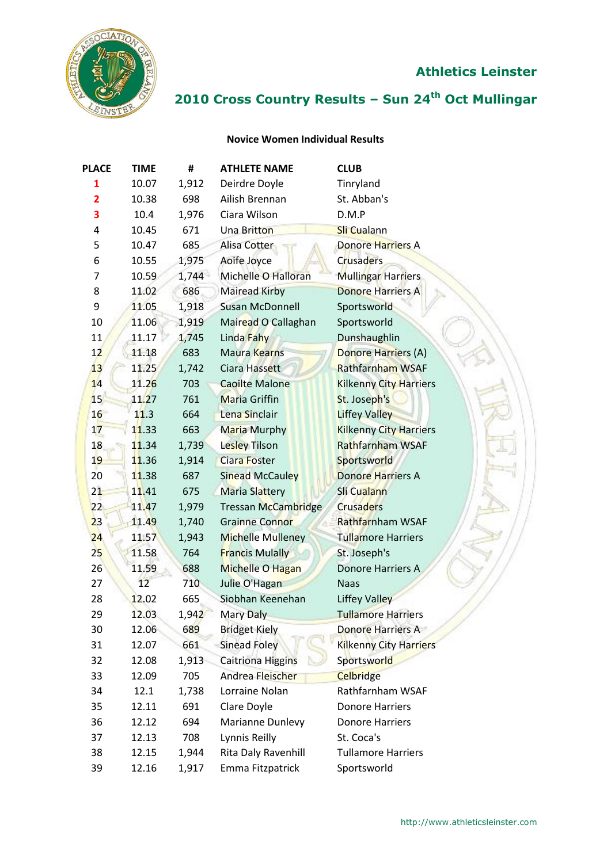

## **2010 Cross Country Results – Sun 24th Oct Mullingar**

#### **Novice Women Individual Results**

| <b>PLACE</b>   | <b>TIME</b> | #     | <b>ATHLETE NAME</b>        | <b>CLUB</b>                   |
|----------------|-------------|-------|----------------------------|-------------------------------|
| $\mathbf{1}$   | 10.07       | 1,912 | Deirdre Doyle              | Tinryland                     |
| $\overline{2}$ | 10.38       | 698   | Ailish Brennan             | St. Abban's                   |
| 3              | 10.4        | 1,976 | Ciara Wilson               | D.M.P                         |
| 4              | 10.45       | 671   | Una Britton                | Sli Cualann                   |
| 5              | 10.47       | 685   | Alisa Cotter               | <b>Donore Harriers A</b>      |
| 6              | 10.55       | 1,975 | Aoife Joyce                | <b>Crusaders</b>              |
| $\overline{7}$ | 10.59       | 1,744 | Michelle O Halloran        | <b>Mullingar Harriers</b>     |
| 8              | 11.02       | 686   | <b>Mairead Kirby</b>       | <b>Donore Harriers A</b>      |
| 9              | 11.05       | 1,918 | <b>Susan McDonnell</b>     | Sportsworld                   |
| 10             | 11.06       | 1,919 | Mairead O Callaghan        | Sportsworld                   |
| 11             | 11.17       | 1,745 | Linda Fahy                 | Dunshaughlin                  |
| 12             | 11.18       | 683   | Maura Kearns               | Donore Harriers (A)           |
| 13             | 11.25       | 1,742 | <b>Ciara Hassett</b>       | Rathfarnham WSAF              |
| 14             | 11.26       | 703   | <b>Caoilte Malone</b>      | <b>Kilkenny City Harriers</b> |
| 15             | 11.27       | 761   | <b>Maria Griffin</b>       | St. Joseph's                  |
| 16             | 11.3        | 664   | Lena Sinclair              | <b>Liffey Valley</b>          |
| 17             | 11.33       | 663   | Maria Murphy               | <b>Kilkenny City Harriers</b> |
| 18             | 11.34       | 1,739 | <b>Lesley Tilson</b>       | <b>Rathfarnham WSAF</b>       |
| 19             | 11.36       | 1,914 | <b>Ciara Foster</b>        | Sportsworld                   |
| 20             | 11.38       | 687   | <b>Sinead McCauley</b>     | <b>Donore Harriers A</b>      |
| 21             | 11.41       | 675   | Maria Slattery             | Sli Cualann                   |
| 22             | 11.47       | 1,979 | <b>Tressan McCambridge</b> | <b>Crusaders</b>              |
| 23             | 11.49       | 1,740 | <b>Grainne Connor</b>      | Rathfarnham WSAF              |
| 24             | 11.57       | 1,943 | <b>Michelle Mulleney</b>   | <b>Tullamore Harriers</b>     |
| 25             | 11.58       | 764   | <b>Francis Mulally</b>     | St. Joseph's                  |
| 26             | 11.59       | 688   | Michelle O Hagan           | Donore Harriers A             |
| 27             | 12          | 710   | Julie O'Hagan              | <b>Naas</b>                   |
| 28             | 12.02       | 665   | Siobhan Keenehan           | <b>Liffey Valley</b>          |
| 29             | 12.03       | 1,942 | Mary Daly                  | <b>Tullamore Harriers</b>     |
| 30             | 12.06       | 689   | <b>Bridget Kiely</b>       | <b>Donore Harriers A</b>      |
| 31             | 12.07       | 661   | <b>Sinead Foley</b>        | <b>Kilkenny City Harriers</b> |
| 32             | 12.08       | 1,913 | <b>Caitriona Higgins</b>   | Sportsworld                   |
| 33             | 12.09       | 705   | Andrea Fleischer           | <b>Celbridge</b>              |
| 34             | 12.1        | 1,738 | Lorraine Nolan             | Rathfarnham WSAF              |
| 35             | 12.11       | 691   | Clare Doyle                | <b>Donore Harriers</b>        |
| 36             | 12.12       | 694   | Marianne Dunlevy           | <b>Donore Harriers</b>        |
| 37             | 12.13       | 708   | Lynnis Reilly              | St. Coca's                    |
| 38             | 12.15       | 1,944 | Rita Daly Ravenhill        | <b>Tullamore Harriers</b>     |
| 39             | 12.16       | 1,917 | Emma Fitzpatrick           | Sportsworld                   |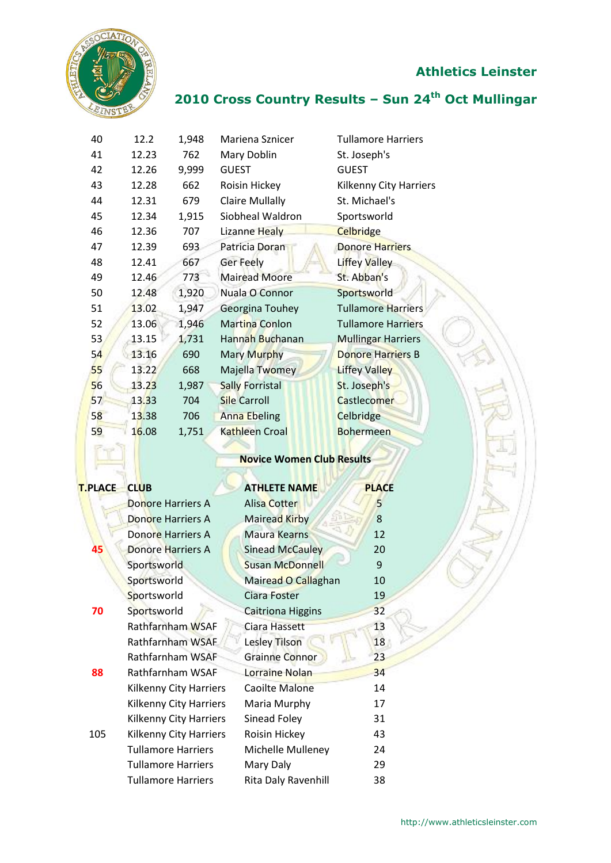

### **2010 Cross Country Results – Sun 24th Oct Mullingar**

| 40                                       | 12.2  | 1,948 | Mariena Sznicer        | <b>Tullamore Harriers</b> |
|------------------------------------------|-------|-------|------------------------|---------------------------|
| 41                                       | 12.23 | 762   | Mary Doblin            | St. Joseph's              |
| 42                                       | 12.26 | 9,999 | <b>GUEST</b>           | <b>GUEST</b>              |
| 43                                       | 12.28 | 662   | Roisin Hickey          | Kilkenny City Harriers    |
| 44                                       | 12.31 | 679   | <b>Claire Mullally</b> | St. Michael's             |
| 45                                       | 12.34 | 1,915 | Siobheal Waldron       | Sportsworld               |
| 46                                       | 12.36 | 707   | Lizanne Healy          | <b>Celbridge</b>          |
| 47                                       | 12.39 | 693   | Patricia Doran         | <b>Donore Harriers</b>    |
| 48                                       | 12.41 | 667   | <b>Ger Feely</b>       | Liffey Valley             |
| 49                                       | 12.46 | 773   | <b>Mairead Moore</b>   | St. Abban's               |
| 50                                       | 12.48 | 1,920 | Nuala O Connor         | Sportsworld               |
| 51                                       | 13.02 | 1,947 | Georgina Touhey        | <b>Tullamore Harriers</b> |
| 52                                       | 13.06 | 1,946 | Martina Conlon         | <b>Tullamore Harriers</b> |
| 53                                       | 13.15 | 1,731 | Hannah Buchanan        | <b>Mullingar Harriers</b> |
| 54                                       | 13.16 | 690   | Mary Murphy            | <b>Donore Harriers B</b>  |
| 55                                       | 13.22 | 668   | Majella Twomey         | <b>Liffey Valley</b>      |
| 56                                       | 13.23 | 1,987 | <b>Sally Forristal</b> | St. Joseph's              |
| 57                                       | 13.33 | 704   | <b>Sile Carroll</b>    | Castlecomer               |
| 58                                       | 13.38 | 706   | <b>Anna Ebeling</b>    | <b>Celbridge</b>          |
| 59                                       | 16.08 | 1,751 | <b>Kathleen Croal</b>  | <b>Bohermeen</b>          |
| $\mathcal{C}_{\mathcal{N}(\mathcal{G})}$ |       |       |                        |                           |

# **Novice Women Club Results**

79

| <b>T.PLACE</b> | <b>CLUB</b>               | <b>ATHLETE NAME</b>        | <b>PLACE</b> |
|----------------|---------------------------|----------------------------|--------------|
|                | Donore Harriers A         | <b>Alisa Cotter</b>        | 5            |
|                | Donore Harriers A         | Mairead Kirby              | 8            |
|                | Donore Harriers A         | <b>Maura Kearns</b>        | 12           |
| 45             | Donore Harriers A         | <b>Sinead McCauley</b>     | 20           |
|                | Sportsworld               | <b>Susan McDonnell</b>     | 9            |
|                | Sportsworld               | Mairead O Callaghan        | 10           |
|                | Sportsworld               | Ciara Foster               | 19           |
| 70             | Sportsworld               | <b>Caitriona Higgins</b>   | 32           |
|                | Rathfarnham WSAF          | Ciara Hassett              | 13           |
|                | Rathfarnham WSAF          | Lesley Tilson              | 18           |
|                | Rathfarnham WSAF          | <b>Grainne Connor</b>      | 23           |
| 88             | Rathfarnham WSAF          | Lorraine Nolan             | 34           |
|                | Kilkenny City Harriers    | Caoilte Malone             | 14           |
|                | Kilkenny City Harriers    | Maria Murphy               | 17           |
|                | Kilkenny City Harriers    | Sinead Foley               | 31           |
| 105            | Kilkenny City Harriers    | Roisin Hickey              | 43           |
|                | <b>Tullamore Harriers</b> | Michelle Mulleney          | 24           |
|                | <b>Tullamore Harriers</b> | Mary Daly                  | 29           |
|                | <b>Tullamore Harriers</b> | <b>Rita Daly Ravenhill</b> | 38           |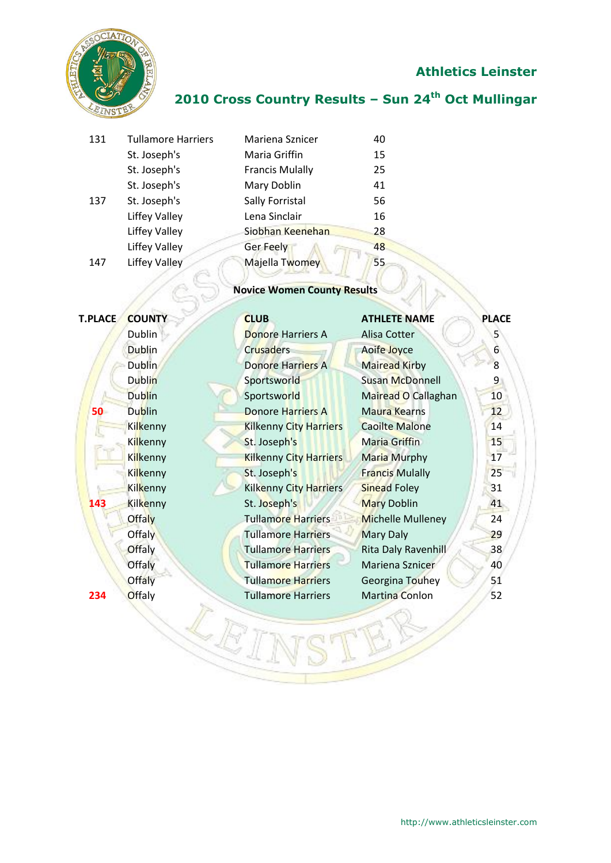

### **2010 Cross Country Results – Sun 24th Oct Mullingar**

| 131 | <b>Tullamore Harriers</b> | Mariena Sznicer        | 40 |
|-----|---------------------------|------------------------|----|
|     | St. Joseph's              | Maria Griffin          | 15 |
|     | St. Joseph's              | <b>Francis Mulally</b> | 25 |
|     | St. Joseph's              | Mary Doblin            | 41 |
| 137 | St. Joseph's              | Sally Forristal        | 56 |
|     | <b>Liffey Valley</b>      | Lena Sinclair          | 16 |
|     | <b>Liffey Valley</b>      | Siobhan Keenehan       | 28 |
|     | <b>Liffey Valley</b>      | <b>Ger Feely</b>       | 48 |
| 147 | <b>Liffey Valley</b>      | Majella Twomey         | 55 |
|     |                           |                        |    |

### **Novice Women County Results**

| <b>Dublin</b><br><b>Dublin</b> | <b>Donore Harriers A</b>      | Alisa Cotter             | 5                                                          |
|--------------------------------|-------------------------------|--------------------------|------------------------------------------------------------|
|                                |                               |                          |                                                            |
|                                | <b>Crusaders</b>              | Aoife Joyce              | $6 \overline{6}$                                           |
| <b>Dublin</b>                  | <b>Donore Harriers A</b>      | <b>Mairead Kirby</b>     | 8                                                          |
| <b>Dublin</b>                  | Sportsworld                   | <b>Susan McDonnell</b>   | 9                                                          |
| <b>Dublin</b>                  | Sportsworld                   | Mairead O Callaghan      | 10                                                         |
| <b>Dublin</b>                  | <b>Donore Harriers A</b>      | <b>Maura Kearns</b>      | 12                                                         |
| Kilkenny                       | <b>Kilkenny City Harriers</b> | <b>Caoilte Malone</b>    | 14                                                         |
| Kilkenny                       | St. Joseph's                  | <b>Maria Griffin</b>     | 15                                                         |
| Kilkenny                       | <b>Kilkenny City Harriers</b> | <b>Maria Murphy</b>      | 17                                                         |
| Kilkenny                       | St. Joseph's                  | <b>Francis Mulally</b>   | 25                                                         |
| Kilkenny                       | <b>Kilkenny City Harriers</b> | <b>Sinead Foley</b>      | 31                                                         |
| Kilkenny                       | St. Joseph's                  | <b>Mary Doblin</b>       | 41                                                         |
| <b>Offaly</b>                  | <b>Tullamore Harriers</b>     | <b>Michelle Mulleney</b> | 24                                                         |
| <b>Offaly</b>                  | <b>Tullamore Harriers</b>     |                          | 29                                                         |
| <b>Offaly</b>                  | <b>Tullamore Harriers</b>     |                          | 38                                                         |
|                                | <b>Tullamore Harriers</b>     | Mariena Sznicer          | 40                                                         |
| <b>Offaly</b>                  | <b>Tullamore Harriers</b>     |                          | 51                                                         |
| Offaly                         | <b>Tullamore Harriers</b>     | <b>Martina Conlon</b>    | 52                                                         |
|                                |                               |                          |                                                            |
|                                |                               |                          |                                                            |
|                                | Offaly                        |                          | <b>Mary Daly</b><br>Rita Daly Ravenhill<br>Georgina Touhey |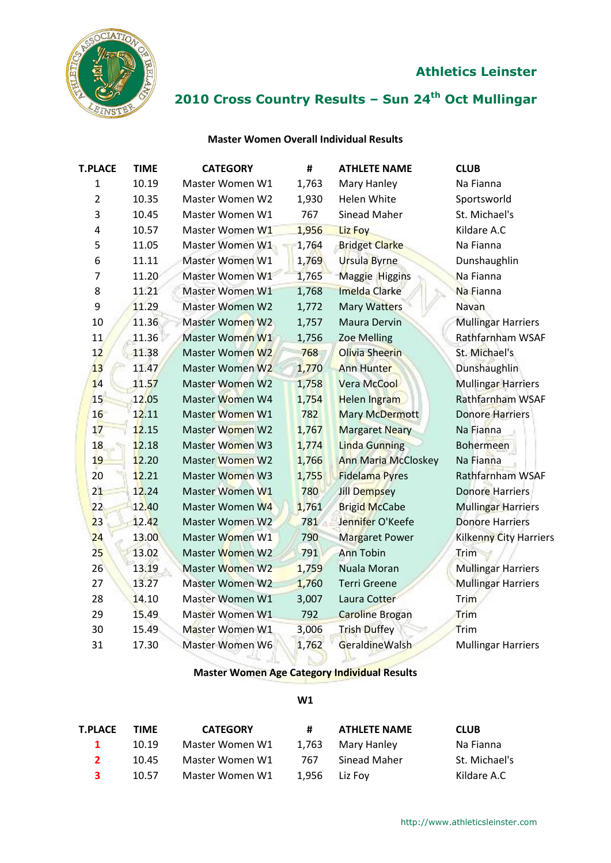

### **2010 Cross Country Results – Sun 24th Oct Mullingar**

#### **Master Women Overall Individual Results**

| <b>T.PLACE</b> | <b>TIME</b> | <b>CATEGORY</b>        | #     | <b>ATHLETE NAME</b>        | <b>CLUB</b>                   |
|----------------|-------------|------------------------|-------|----------------------------|-------------------------------|
| 1              | 10.19       | Master Women W1        | 1,763 | Mary Hanley                | Na Fianna                     |
| $\overline{2}$ | 10.35       | Master Women W2        | 1,930 | Helen White                | Sportsworld                   |
| 3              | 10.45       | Master Women W1        | 767   | <b>Sinead Maher</b>        | St. Michael's                 |
| 4              | 10.57       | Master Women W1        | 1,956 | Liz Foy                    | Kildare A.C                   |
| 5              | 11.05       | Master Women W1        | 1,764 | <b>Bridget Clarke</b>      | Na Fianna                     |
| 6              | 11.11       | Master Women W1        | 1,769 | <b>Ursula Byrne</b>        | Dunshaughlin                  |
| 7              | 11.20       | Master Women W1        | 1,765 | <b>Maggie Higgins</b>      | Na Fianna                     |
| 8              | 11.21       | Master Women W1        | 1,768 | <b>Imelda Clarke</b>       | Na Fianna                     |
| 9              | 11.29       | Master Women W2        | 1,772 | <b>Mary Watters</b>        | <b>Navan</b>                  |
| 10             | 11.36       | <b>Master Women W2</b> | 1,757 | Maura Dervin               | <b>Mullingar Harriers</b>     |
| 11             | 11.36       | Master Women W1        | 1,756 | <b>Zoe Melling</b>         | Rathfarnham WSAF              |
| 12             | 11.38       | Master Women W2        | 768   | Olivia Sheerin             | St. Michael's                 |
| 13             | 11.47       | <b>Master Women W2</b> | 1,770 | <b>Ann Hunter</b>          | <b>Dunshaughlin</b>           |
| 14             | 11.57       | <b>Master Women W2</b> | 1,758 | <b>Vera McCool</b>         | <b>Mullingar Harriers</b>     |
| 15             | 12.05       | Master Women W4        | 1,754 | <b>Helen Ingram</b>        | Rathfarnham WSAF              |
| 16             | 12.11       | Master Women W1        | 782   | Mary McDermott             | <b>Donore Harriers</b>        |
| 17             | 12.15       | Master Women W2        | 1,767 | <b>Margaret Neary</b>      | Na Fianna                     |
| 18             | 12.18       | Master Women W3        | 1,774 | <b>Linda Gunning</b>       | Bohermeen                     |
| 19             | 12.20       | <b>Master Women W2</b> | 1,766 | <b>Ann Maria McCloskey</b> | Na Fianna                     |
| 20             | 12.21       | Master Women W3        | 1,755 | <b>Fidelama Pyres</b>      | Rathfarnham WSAF              |
| 21             | 12.24       | Master Women W1        | 780   | <b>Jill Dempsey</b>        | <b>Donore Harriers</b>        |
| 22             | 12.40       | Master Women W4        | 1,761 | <b>Brigid McCabe</b>       | <b>Mullingar Harriers</b>     |
| 23             | 12.42       | Master Women W2        | 781   | Jennifer O'Keefe           | <b>Donore Harriers</b>        |
| 24             | 13.00       | Master Women W1        | 790   | <b>Margaret Power</b>      | <b>Kilkenny City Harriers</b> |
| 25             | 13.02       | Master Women W2        | 791   | <b>Ann Tobin</b>           | Trim                          |
| 26             | 13.19       | <b>Master Women W2</b> | 1,759 | Nuala Moran                | <b>Mullingar Harriers</b>     |
| 27             | 13.27       | Master Women W2        | 1,760 | <b>Terri Greene</b>        | <b>Mullingar Harriers</b>     |
| 28             | 14.10       | Master Women W1        | 3,007 | Laura Cotter               | Trim                          |
| 29             | 15.49       | Master Women W1        | 792   | <b>Caroline Brogan</b>     | Trim                          |
| 30             | 15.49       | Master Women W1        | 3,006 | <b>Trish Duffey</b>        | Trim                          |
| 31             | 17.30       | Master Women W6        | 1,762 | Geraldine Walsh            | <b>Mullingar Harriers</b>     |

#### **Master Women Age Category Individual Results**

#### **W1**

| <b>T.PLACE</b> | TIME  | <b>CATEGORY</b> | #     | <b>ATHLETE NAME</b> | <b>CLUB</b>   |
|----------------|-------|-----------------|-------|---------------------|---------------|
| $\mathbf{1}$   | 10.19 | Master Women W1 | 1.763 | Mary Hanley         | Na Fianna     |
| 2              | 10.45 | Master Women W1 | 767   | Sinead Maher        | St. Michael's |
| з.             | 10.57 | Master Women W1 |       | 1,956 Liz Foy       | Kildare A.C   |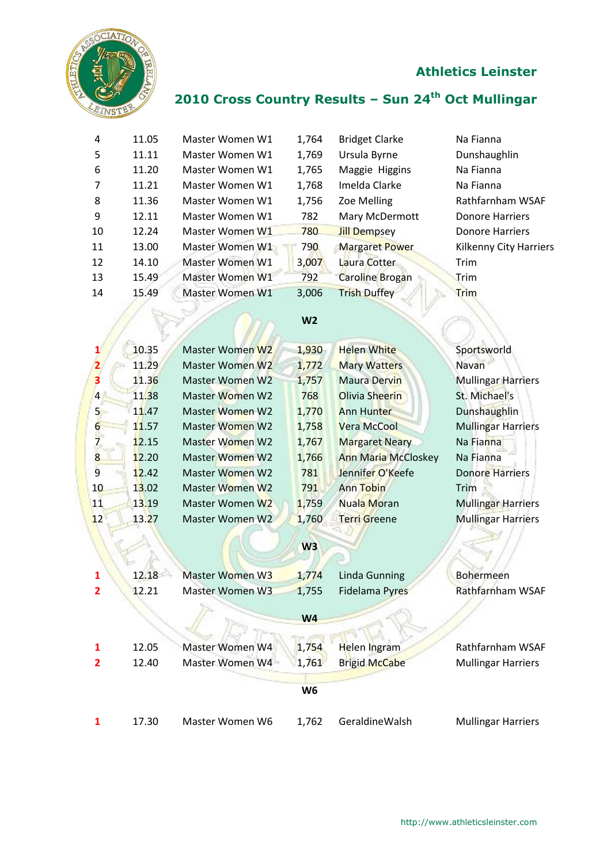

### **2010 Cross Country Results – Sun 24th Oct Mullingar**

| 4  | 11.05 | Master Women W1 | 1,764 | <b>Bridget Clarke</b>  | Na Fianna                     |
|----|-------|-----------------|-------|------------------------|-------------------------------|
| 5  | 11.11 | Master Women W1 | 1,769 | Ursula Byrne           | Dunshaughlin                  |
| 6  | 11.20 | Master Women W1 | 1,765 | Maggie Higgins         | Na Fianna                     |
| 7  | 11.21 | Master Women W1 | 1,768 | Imelda Clarke          | Na Fianna                     |
| 8  | 11.36 | Master Women W1 | 1,756 | Zoe Melling            | Rathfarnham WSAF              |
| 9  | 12.11 | Master Women W1 | 782   | Mary McDermott         | Donore Harriers               |
| 10 | 12.24 | Master Women W1 | 780   | <b>Jill Dempsey</b>    | Donore Harriers               |
| 11 | 13.00 | Master Women W1 | 790   | <b>Margaret Power</b>  | <b>Kilkenny City Harriers</b> |
| 12 | 14.10 | Master Women W1 | 3,007 | Laura Cotter           | Trim                          |
| 13 | 15.49 | Master Women W1 | 792   | <b>Caroline Brogan</b> | Trim                          |
| 14 | 15.49 | Master Women W1 | 3,006 | <b>Trish Duffey</b>    | Trim                          |
|    |       |                 |       |                        |                               |

### **W2**

 $\bigcap$ 

|                | 10.35 | Master Women W2 | 1,930          | <b>Helen White</b>         | Sportsworld               |
|----------------|-------|-----------------|----------------|----------------------------|---------------------------|
|                | 11.29 | Master Women W2 | 1,772          | <b>Mary Watters</b>        | Navan                     |
|                | 11.36 | Master Women W2 | 1,757          | <b>Maura Dervin</b>        | <b>Mullingar Harriers</b> |
| $\overline{4}$ | 11.38 | Master Women W2 | 768            | Olivia Sheerin             | St. Michael's             |
| 5              | 11.47 | Master Women W2 | 1,770          | <b>Ann Hunter</b>          | Dunshaughlin              |
| h              | 11.57 | Master Women W2 | 1,758          | <b>Vera McCool</b>         | <b>Mullingar Harriers</b> |
|                | 12.15 | Master Women W2 | 1,767          | <b>Margaret Neary</b>      | Na Fianna                 |
| 8              | 12.20 | Master Women W2 | 1,766          | <b>Ann Maria McCloskey</b> | Na Fianna                 |
| 9              | 12.42 | Master Women W2 | 781            | Jennifer O'Keefe           | <b>Donore Harriers</b>    |
| 10             | 13.02 | Master Women W2 | 791            | Ann Tobin                  | <b>Trim</b>               |
| 11             | 13.19 | Master Women W2 | 1,759          | <b>Nuala Moran</b>         | <b>Mullingar Harriers</b> |
| 12             | 13.27 | Master Women W2 | 1,760          | <b>Terri Greene</b>        | <b>Mullingar Harriers</b> |
|                |       |                 |                |                            |                           |
|                |       |                 | W <sub>3</sub> |                            |                           |
|                |       |                 |                |                            |                           |

| $\mathbf{1}$   | 12.18 | Master Women W3 | 1,774          | <b>Linda Gunning</b>  | <b>Bohermeen</b>          |
|----------------|-------|-----------------|----------------|-----------------------|---------------------------|
| $\overline{2}$ | 12.21 | Master Women W3 | 1,755          | <b>Fidelama Pyres</b> | Rathfarnham WSAF          |
|                |       |                 | W <sub>4</sub> |                       |                           |
| $\mathbf{1}$   | 12.05 | Master Women W4 | 1,754          | Helen Ingram          | Rathfarnham WSAF          |
| $\overline{2}$ | 12.40 | Master Women W4 | 1,761          | <b>Brigid McCabe</b>  | <b>Mullingar Harriers</b> |
|                |       |                 | W <sub>6</sub> |                       |                           |
|                | 17.30 | Master Women W6 | 1,762          | GeraldineWalsh        | <b>Mullingar Harriers</b> |